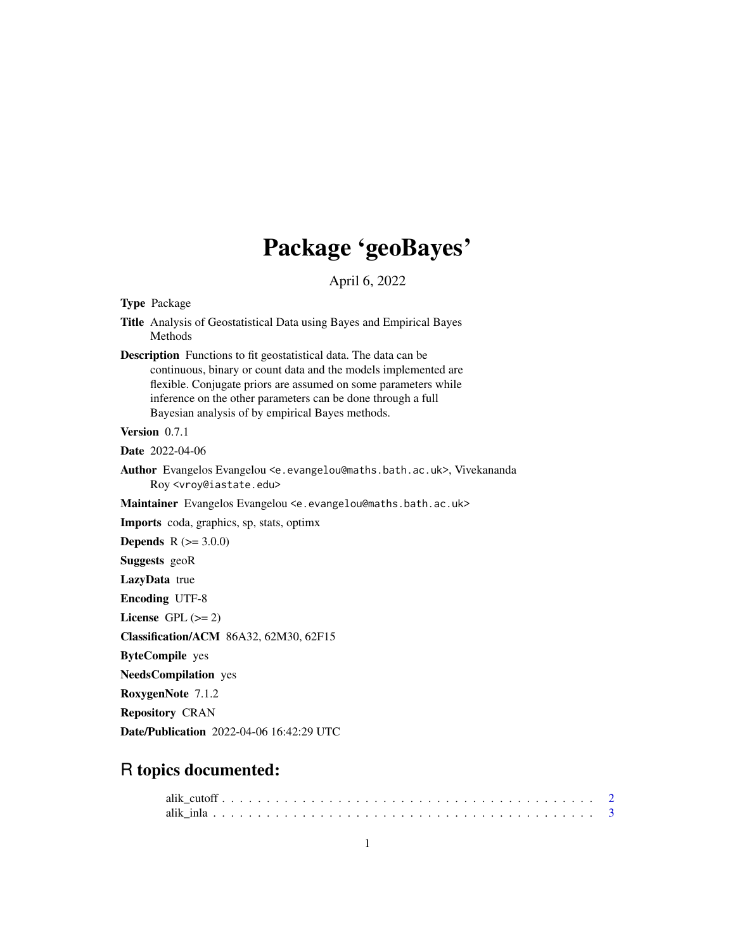# Package 'geoBayes'

April 6, 2022

### <span id="page-0-0"></span>Type Package

Title Analysis of Geostatistical Data using Bayes and Empirical Bayes Methods

Description Functions to fit geostatistical data. The data can be continuous, binary or count data and the models implemented are flexible. Conjugate priors are assumed on some parameters while inference on the other parameters can be done through a full Bayesian analysis of by empirical Bayes methods.

Version 0.7.1

Date 2022-04-06

Author Evangelos Evangelou <e.evangelou@maths.bath.ac.uk>, Vivekananda Roy <vroy@iastate.edu>

Maintainer Evangelos Evangelou <e.evangelou@maths.bath.ac.uk>

Imports coda, graphics, sp, stats, optimx

**Depends**  $R (= 3.0.0)$ 

Suggests geoR

LazyData true

Encoding UTF-8

License GPL  $(>= 2)$ 

Classification/ACM 86A32, 62M30, 62F15

ByteCompile yes

NeedsCompilation yes

RoxygenNote 7.1.2

Repository CRAN

Date/Publication 2022-04-06 16:42:29 UTC

## R topics documented: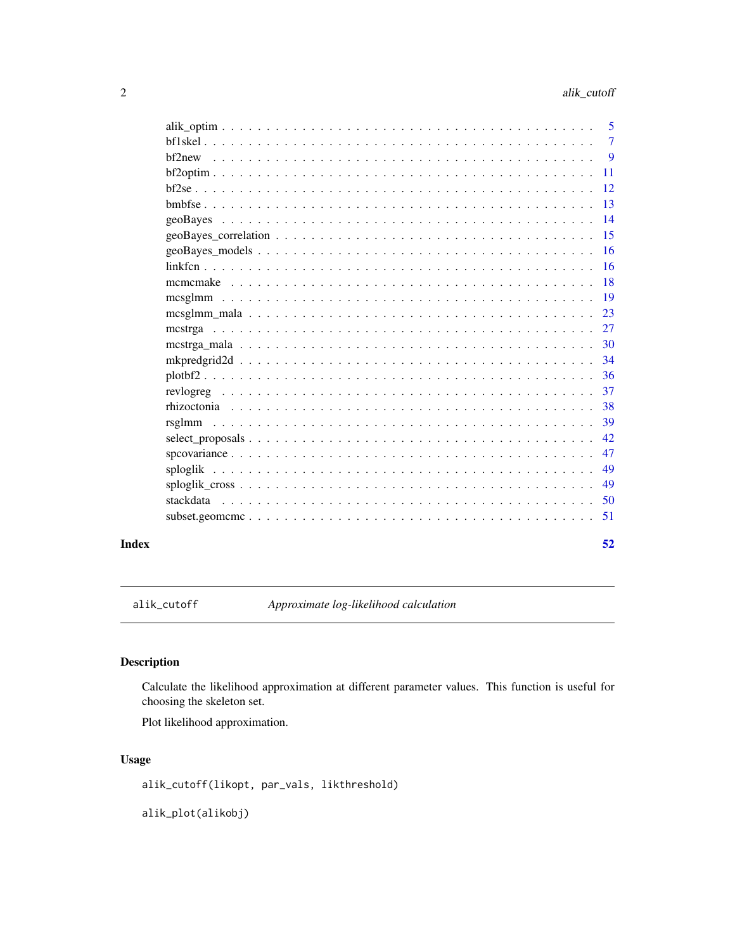<span id="page-1-0"></span>

|       | $\overline{7}$ |
|-------|----------------|
|       |                |
|       |                |
|       |                |
|       |                |
|       |                |
|       |                |
|       |                |
|       |                |
|       |                |
|       |                |
|       |                |
|       |                |
|       |                |
|       |                |
|       |                |
|       | 37             |
|       | 38             |
|       | 39             |
|       | 42             |
|       | 47             |
|       | 49             |
|       | 49             |
|       | -50            |
|       | -51            |
| Index | 52             |

<span id="page-1-1"></span>alik\_cutoff *Approximate log-likelihood calculation*

### Description

Calculate the likelihood approximation at different parameter values. This function is useful for choosing the skeleton set.

Plot likelihood approximation.

### Usage

alik\_cutoff(likopt, par\_vals, likthreshold)

alik\_plot(alikobj)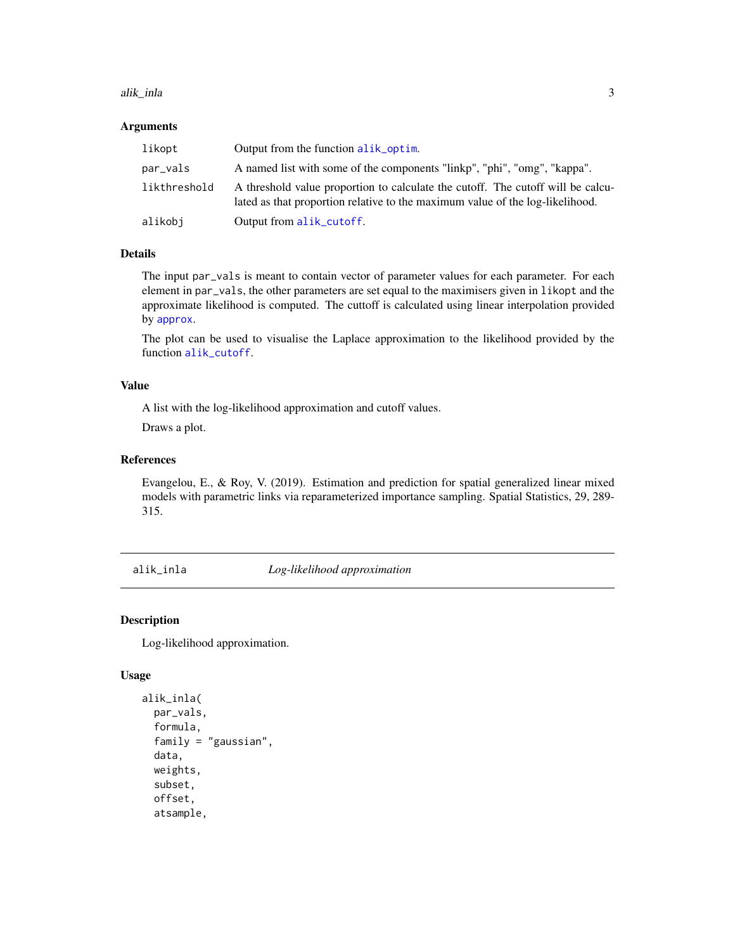### <span id="page-2-0"></span>alik\_inla 3

### Arguments

| likopt       | Output from the function alik_optim.                                                                                                                             |
|--------------|------------------------------------------------------------------------------------------------------------------------------------------------------------------|
| par_vals     | A named list with some of the components "linkp", "phi", "omg", "kappa".                                                                                         |
| likthreshold | A threshold value proportion to calculate the cutoff. The cutoff will be calcu-<br>lated as that proportion relative to the maximum value of the log-likelihood. |
| alikobi      | Output from alik_cutoff.                                                                                                                                         |

### Details

The input par\_vals is meant to contain vector of parameter values for each parameter. For each element in par\_vals, the other parameters are set equal to the maximisers given in likopt and the approximate likelihood is computed. The cuttoff is calculated using linear interpolation provided by [approx](#page-0-0).

The plot can be used to visualise the Laplace approximation to the likelihood provided by the function [alik\\_cutoff](#page-1-1).

### Value

A list with the log-likelihood approximation and cutoff values.

Draws a plot.

### References

Evangelou, E., & Roy, V. (2019). Estimation and prediction for spatial generalized linear mixed models with parametric links via reparameterized importance sampling. Spatial Statistics, 29, 289- 315.

alik\_inla *Log-likelihood approximation*

### Description

Log-likelihood approximation.

### Usage

```
alik_inla(
 par_vals,
  formula,
  family = "gaussian".data,
  weights,
  subset,
  offset,
  atsample,
```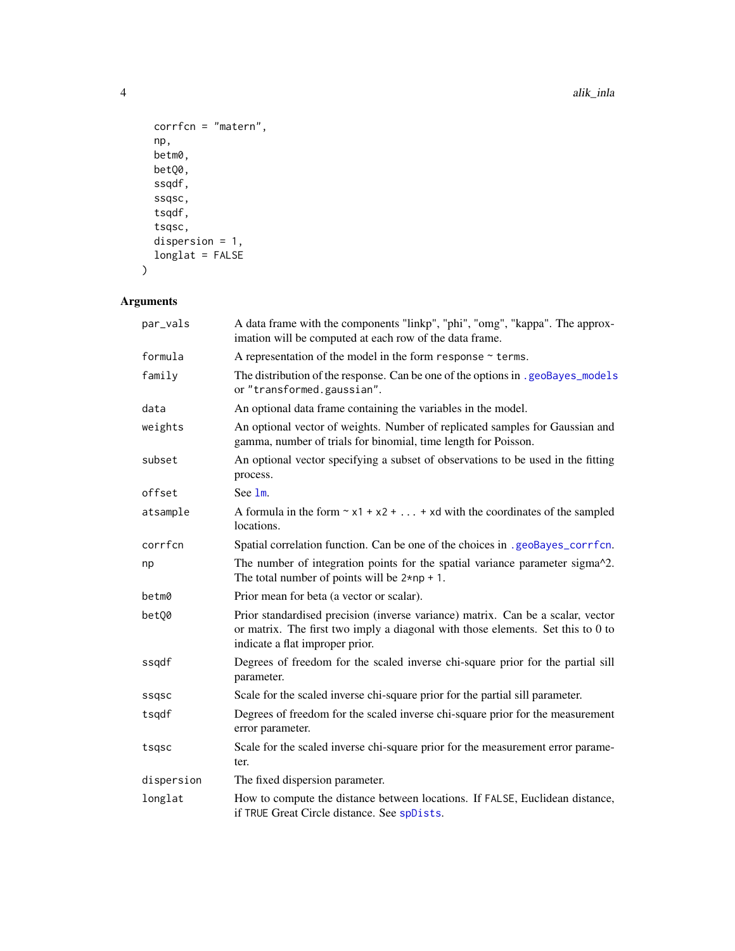```
corrfcn = "matern",
 np,
 betm0,
 betQ0,
 ssqdf,
 ssqsc,
 tsqdf,
 tsqsc,
 dispersion = 1,
 longlat = FALSE
\mathcal{L}
```
## Arguments

| par_vals   | A data frame with the components "linkp", "phi", "omg", "kappa". The approx-<br>imation will be computed at each row of the data frame.                                                               |
|------------|-------------------------------------------------------------------------------------------------------------------------------------------------------------------------------------------------------|
| formula    | A representation of the model in the form response $\sim$ terms.                                                                                                                                      |
| family     | The distribution of the response. Can be one of the options in .geoBayes_models<br>or "transformed.gaussian".                                                                                         |
| data       | An optional data frame containing the variables in the model.                                                                                                                                         |
| weights    | An optional vector of weights. Number of replicated samples for Gaussian and<br>gamma, number of trials for binomial, time length for Poisson.                                                        |
| subset     | An optional vector specifying a subset of observations to be used in the fitting<br>process.                                                                                                          |
| offset     | See 1m.                                                                                                                                                                                               |
| atsample   | A formula in the form $\sim x1 + x2 +  + xd$ with the coordinates of the sampled<br>locations.                                                                                                        |
| corrfcn    | Spatial correlation function. Can be one of the choices in .geoBayes_corrfcn.                                                                                                                         |
| np         | The number of integration points for the spatial variance parameter sigma <sup>12</sup> .<br>The total number of points will be $2 \star np + 1$ .                                                    |
| betm0      | Prior mean for beta (a vector or scalar).                                                                                                                                                             |
| betQ0      | Prior standardised precision (inverse variance) matrix. Can be a scalar, vector<br>or matrix. The first two imply a diagonal with those elements. Set this to 0 to<br>indicate a flat improper prior. |
| ssqdf      | Degrees of freedom for the scaled inverse chi-square prior for the partial sill<br>parameter.                                                                                                         |
| ssqsc      | Scale for the scaled inverse chi-square prior for the partial sill parameter.                                                                                                                         |
| tsqdf      | Degrees of freedom for the scaled inverse chi-square prior for the measurement<br>error parameter.                                                                                                    |
| tsgsc      | Scale for the scaled inverse chi-square prior for the measurement error parame-<br>ter.                                                                                                               |
| dispersion | The fixed dispersion parameter.                                                                                                                                                                       |
| longlat    | How to compute the distance between locations. If FALSE, Euclidean distance,<br>if TRUE Great Circle distance. See spDists.                                                                           |

<span id="page-3-0"></span>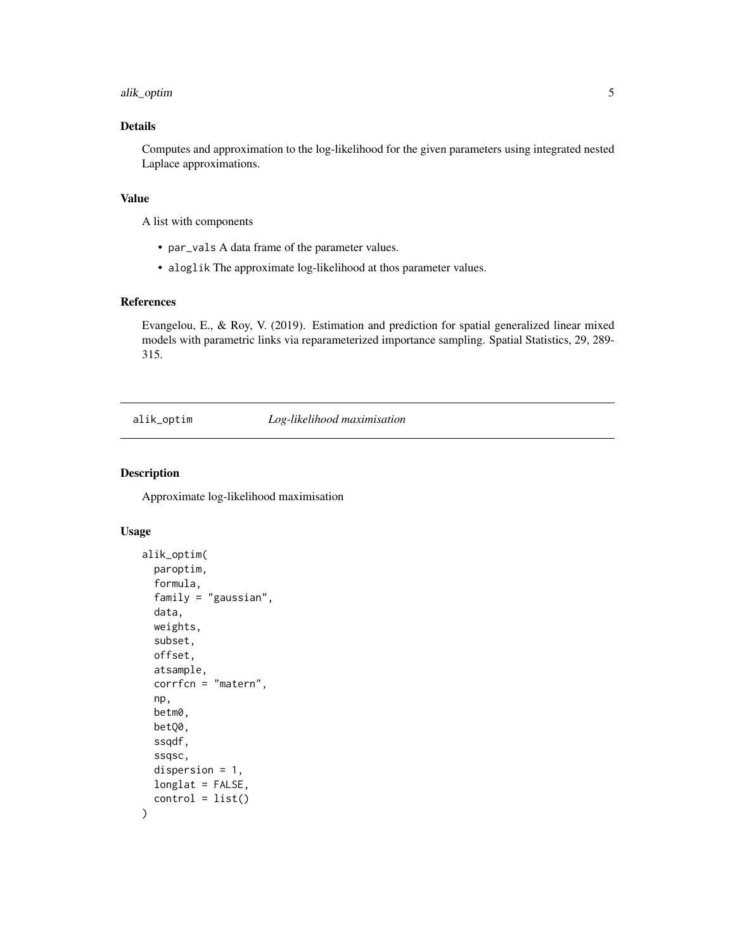### <span id="page-4-0"></span>alik\_optim 5

### Details

Computes and approximation to the log-likelihood for the given parameters using integrated nested Laplace approximations.

### Value

A list with components

- par\_vals A data frame of the parameter values.
- aloglik The approximate log-likelihood at thos parameter values.

### References

Evangelou, E., & Roy, V. (2019). Estimation and prediction for spatial generalized linear mixed models with parametric links via reparameterized importance sampling. Spatial Statistics, 29, 289- 315.

<span id="page-4-1"></span>alik\_optim *Log-likelihood maximisation*

### Description

Approximate log-likelihood maximisation

### Usage

```
alik_optim(
 paroptim,
  formula,
  family = "gaussian",
  data,
 weights,
  subset,
 offset,
  atsample,
  corrfcn = "matern",
  np,
 betm0,
 betQ0,
  ssqdf,
  ssqsc,
  dispersion = 1,
  longlat = FALSE,
  control = list())
```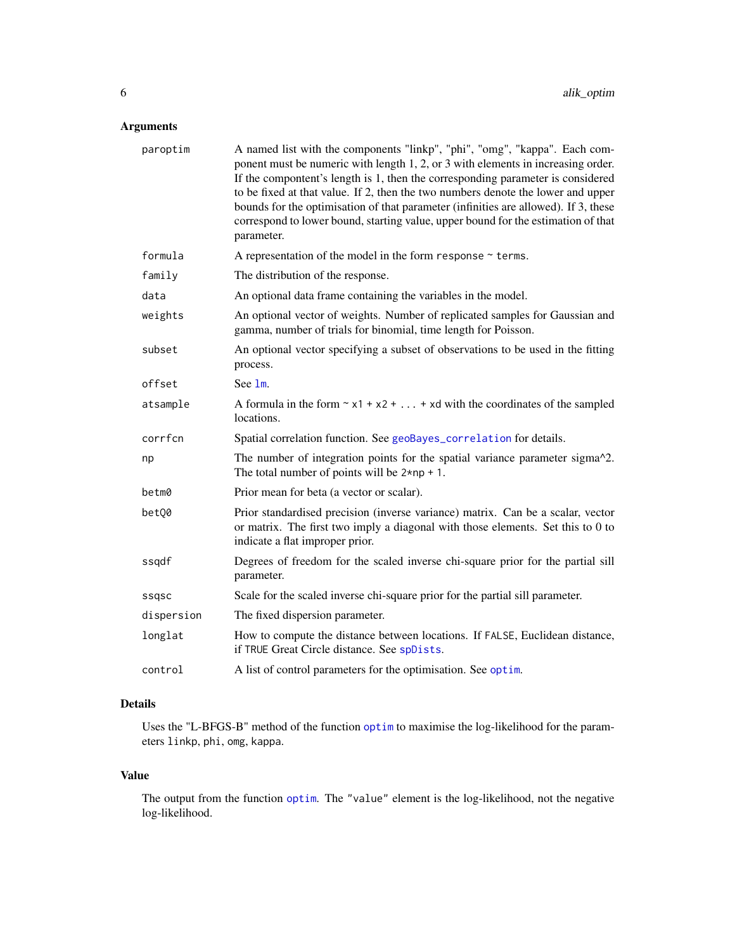### <span id="page-5-0"></span>Arguments

| paroptim   | A named list with the components "linkp", "phi", "omg", "kappa". Each com-<br>ponent must be numeric with length 1, 2, or 3 with elements in increasing order.<br>If the compontent's length is 1, then the corresponding parameter is considered<br>to be fixed at that value. If 2, then the two numbers denote the lower and upper<br>bounds for the optimisation of that parameter (infinities are allowed). If 3, these<br>correspond to lower bound, starting value, upper bound for the estimation of that<br>parameter. |
|------------|---------------------------------------------------------------------------------------------------------------------------------------------------------------------------------------------------------------------------------------------------------------------------------------------------------------------------------------------------------------------------------------------------------------------------------------------------------------------------------------------------------------------------------|
| formula    | A representation of the model in the form response $\sim$ terms.                                                                                                                                                                                                                                                                                                                                                                                                                                                                |
| family     | The distribution of the response.                                                                                                                                                                                                                                                                                                                                                                                                                                                                                               |
| data       | An optional data frame containing the variables in the model.                                                                                                                                                                                                                                                                                                                                                                                                                                                                   |
| weights    | An optional vector of weights. Number of replicated samples for Gaussian and<br>gamma, number of trials for binomial, time length for Poisson.                                                                                                                                                                                                                                                                                                                                                                                  |
| subset     | An optional vector specifying a subset of observations to be used in the fitting<br>process.                                                                                                                                                                                                                                                                                                                                                                                                                                    |
| offset     | See 1m.                                                                                                                                                                                                                                                                                                                                                                                                                                                                                                                         |
| atsample   | A formula in the form $\sim x1 + x2 +  + xd$ with the coordinates of the sampled<br>locations.                                                                                                                                                                                                                                                                                                                                                                                                                                  |
| corrfcn    | Spatial correlation function. See geoBayes_correlation for details.                                                                                                                                                                                                                                                                                                                                                                                                                                                             |
| np         | The number of integration points for the spatial variance parameter sigma <sup>12</sup> .<br>The total number of points will be $2 \star np + 1$ .                                                                                                                                                                                                                                                                                                                                                                              |
| betm0      | Prior mean for beta (a vector or scalar).                                                                                                                                                                                                                                                                                                                                                                                                                                                                                       |
| betQ0      | Prior standardised precision (inverse variance) matrix. Can be a scalar, vector<br>or matrix. The first two imply a diagonal with those elements. Set this to 0 to<br>indicate a flat improper prior.                                                                                                                                                                                                                                                                                                                           |
| ssqdf      | Degrees of freedom for the scaled inverse chi-square prior for the partial sill<br>parameter.                                                                                                                                                                                                                                                                                                                                                                                                                                   |
| ssqsc      | Scale for the scaled inverse chi-square prior for the partial sill parameter.                                                                                                                                                                                                                                                                                                                                                                                                                                                   |
| dispersion | The fixed dispersion parameter.                                                                                                                                                                                                                                                                                                                                                                                                                                                                                                 |
| longlat    | How to compute the distance between locations. If FALSE, Euclidean distance,<br>if TRUE Great Circle distance. See spDists.                                                                                                                                                                                                                                                                                                                                                                                                     |
| control    | A list of control parameters for the optimisation. See optim.                                                                                                                                                                                                                                                                                                                                                                                                                                                                   |
|            |                                                                                                                                                                                                                                                                                                                                                                                                                                                                                                                                 |

### Details

Uses the "L-BFGS-B" method of the function [optim](#page-0-0) to maximise the log-likelihood for the parameters linkp, phi, omg, kappa.

### Value

The output from the function [optim](#page-0-0). The "value" element is the log-likelihood, not the negative log-likelihood.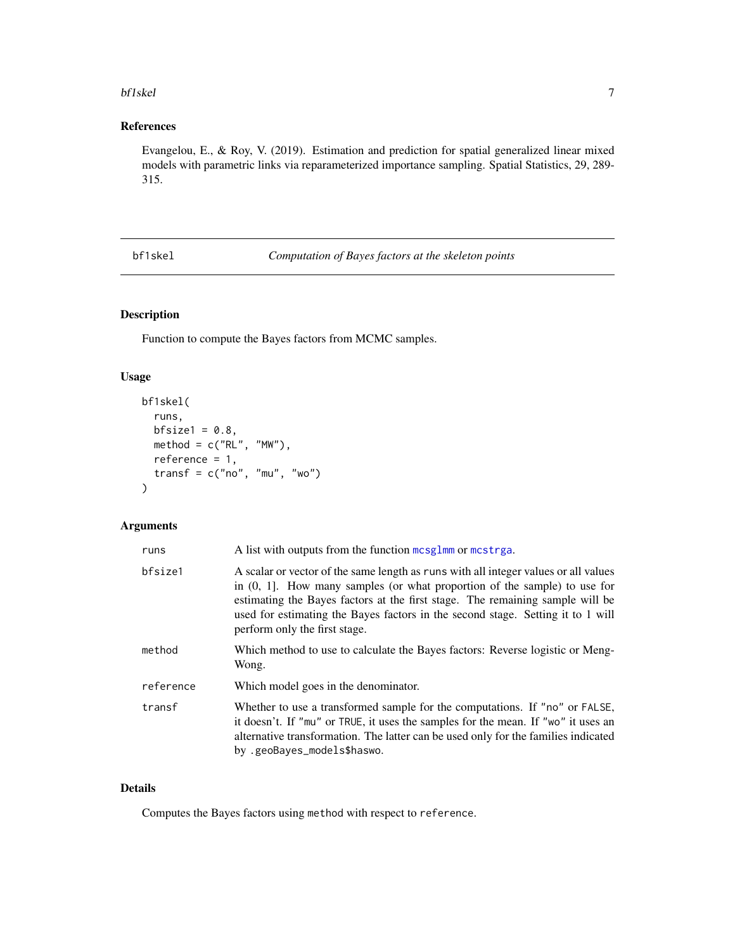### <span id="page-6-0"></span>bf1skel 7

### References

Evangelou, E., & Roy, V. (2019). Estimation and prediction for spatial generalized linear mixed models with parametric links via reparameterized importance sampling. Spatial Statistics, 29, 289- 315.

<span id="page-6-1"></span>bf1skel *Computation of Bayes factors at the skeleton points*

### Description

Function to compute the Bayes factors from MCMC samples.

### Usage

```
bf1skel(
  runs,
 bf size1 = 0.8,
 method = c("RL", "MW"),
 reference = 1,
  transf = c("no", "mu", "wo"))
```
### Arguments

| runs      | A list with outputs from the function mcsglmm or mcstrga.                                                                                                                                                                                                                                                                                                                |
|-----------|--------------------------------------------------------------------------------------------------------------------------------------------------------------------------------------------------------------------------------------------------------------------------------------------------------------------------------------------------------------------------|
| bfsize1   | A scalar or vector of the same length as runs with all integer values or all values<br>in $(0, 1]$ . How many samples (or what proportion of the sample) to use for<br>estimating the Bayes factors at the first stage. The remaining sample will be<br>used for estimating the Bayes factors in the second stage. Setting it to 1 will<br>perform only the first stage. |
| method    | Which method to use to calculate the Bayes factors: Reverse logistic or Meng-<br>Wong.                                                                                                                                                                                                                                                                                   |
| reference | Which model goes in the denominator.                                                                                                                                                                                                                                                                                                                                     |
| transf    | Whether to use a transformed sample for the computations. If "no" or FALSE,<br>it doesn't. If "mu" or TRUE, it uses the samples for the mean. If "wo" it uses an<br>alternative transformation. The latter can be used only for the families indicated<br>by .geoBayes_models\$haswo.                                                                                    |

### Details

Computes the Bayes factors using method with respect to reference.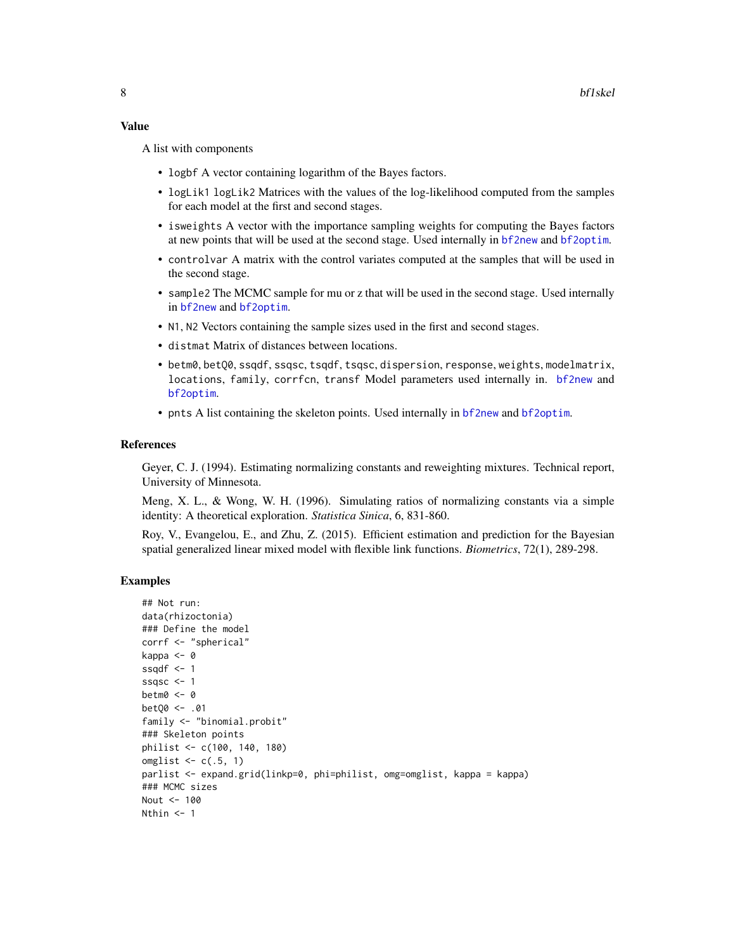#### <span id="page-7-0"></span>Value

A list with components

- logbf A vector containing logarithm of the Bayes factors.
- logLik1 logLik2 Matrices with the values of the log-likelihood computed from the samples for each model at the first and second stages.
- isweights A vector with the importance sampling weights for computing the Bayes factors at new points that will be used at the second stage. Used internally in [bf2new](#page-8-1) and [bf2optim](#page-10-1).
- controlvar A matrix with the control variates computed at the samples that will be used in the second stage.
- sample2 The MCMC sample for mu or z that will be used in the second stage. Used internally in [bf2new](#page-8-1) and [bf2optim](#page-10-1).
- N1, N2 Vectors containing the sample sizes used in the first and second stages.
- distmat Matrix of distances between locations.
- betm0, betQ0, ssqdf, ssqsc, tsqdf, tsqsc, dispersion, response, weights, modelmatrix, locations, family, corrfcn, transf Model parameters used internally in. [bf2new](#page-8-1) and [bf2optim](#page-10-1).
- pnts A list containing the skeleton points. Used internally in [bf2new](#page-8-1) and [bf2optim](#page-10-1).

### References

Geyer, C. J. (1994). Estimating normalizing constants and reweighting mixtures. Technical report, University of Minnesota.

Meng, X. L., & Wong, W. H. (1996). Simulating ratios of normalizing constants via a simple identity: A theoretical exploration. *Statistica Sinica*, 6, 831-860.

Roy, V., Evangelou, E., and Zhu, Z. (2015). Efficient estimation and prediction for the Bayesian spatial generalized linear mixed model with flexible link functions. *Biometrics*, 72(1), 289-298.

```
## Not run:
data(rhizoctonia)
### Define the model
corrf <- "spherical"
kappa <- 0
ssqdf \leftarrow 1ssqsc <-1betm0 < -0betQ0 <- .01
family <- "binomial.probit"
### Skeleton points
philist <- c(100, 140, 180)
omglist \leq c(.5, 1)
parlist <- expand.grid(linkp=0, phi=philist, omg=omglist, kappa = kappa)
### MCMC sizes
Nout <- 100
Nthin <-1
```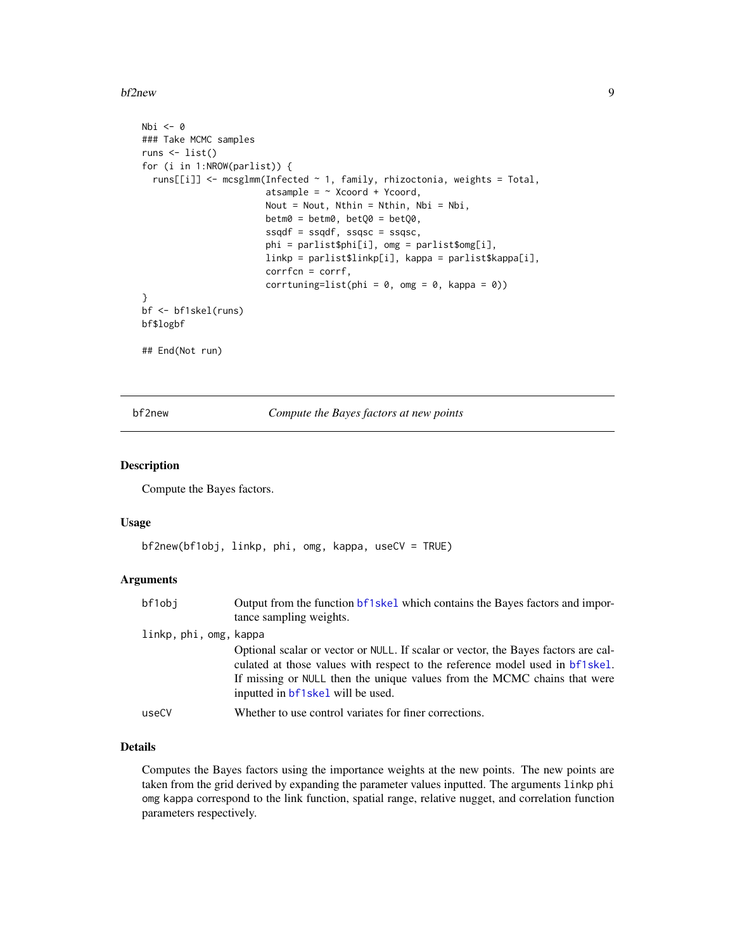<span id="page-8-0"></span>bf2new 9

```
Nbi \leq -\emptyset### Take MCMC samples
runs <- list()
for (i in 1:NROW(parlist)) {
  runs[[i]] <- mcsglmm(Infected ~ 1, family, rhizoctonia, weights = Total,
                       atsample = \sim Xcoord + Ycoord,
                       Nout = Nout, Nthin = Nthin, Nbi = Nbi,
                       betm0 = betm0, betQ0 = betQ0,
                       ssqdf = ssqdf, ssqsc = ssqsc,
                       phi = parlist$phi[i], omg = parlist$omg[i],
                       linkp = parlist$linkp[i], kappa = parlist$kappa[i],
                       corrfcn = corrf,
                        corrtuning=list(phi = 0, omg = 0, kappa = 0))
}
bf <- bf1skel(runs)
bf$logbf
## End(Not run)
```
<span id="page-8-1"></span>

bf2new *Compute the Bayes factors at new points*

### Description

Compute the Bayes factors.

### Usage

```
bf2new(bf1obj, linkp, phi, omg, kappa, useCV = TRUE)
```
### Arguments

| bf1obj                 | Output from the function bf1skel which contains the Bayes factors and impor-<br>tance sampling weights.                                                                                       |
|------------------------|-----------------------------------------------------------------------------------------------------------------------------------------------------------------------------------------------|
| linkp, phi, omg, kappa | Optional scalar or vector or NULL. If scalar or vector, the Bayes factors are cal-                                                                                                            |
|                        | culated at those values with respect to the reference model used in bf1skel.<br>If missing or NULL then the unique values from the MCMC chains that were<br>inputted in bf1skel will be used. |
| useCV                  | Whether to use control variates for finer corrections.                                                                                                                                        |

### Details

Computes the Bayes factors using the importance weights at the new points. The new points are taken from the grid derived by expanding the parameter values inputted. The arguments linkp phi omg kappa correspond to the link function, spatial range, relative nugget, and correlation function parameters respectively.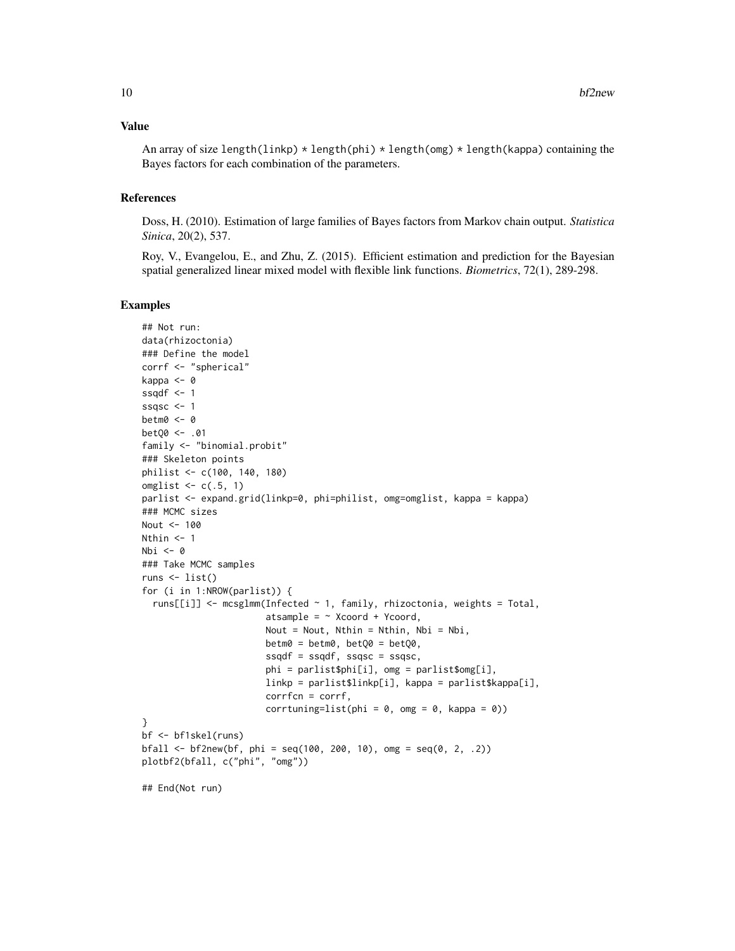#### Value

An array of size length(linkp)  $\star$  length(phi)  $\star$  length(omg)  $\star$  length(kappa) containing the Bayes factors for each combination of the parameters.

### References

Doss, H. (2010). Estimation of large families of Bayes factors from Markov chain output. *Statistica Sinica*, 20(2), 537.

Roy, V., Evangelou, E., and Zhu, Z. (2015). Efficient estimation and prediction for the Bayesian spatial generalized linear mixed model with flexible link functions. *Biometrics*, 72(1), 289-298.

```
## Not run:
data(rhizoctonia)
### Define the model
corrf <- "spherical"
kappa <- 0
ssqdf \leq -1ssqsc <-1betm0 <- 0
betQ0 <- .01
family <- "binomial.probit"
### Skeleton points
philist <- c(100, 140, 180)
omglist \leq c(.5, 1)
parlist <- expand.grid(linkp=0, phi=philist, omg=omglist, kappa = kappa)
### MCMC sizes
Nout <- 100
Nthin <- 1
Nbi \leq -\emptyset### Take MCMC samples
runs \leftarrow list()
for (i in 1:NROW(parlist)) {
  runs[[i]] <- mcsglmm(Infected ~ 1, family, rhizoctonia, weights = Total,
                        atsample = \sim Xcoord + Ycoord,
                        Nout = Nout, Nthin = Nthin, Nbi = Nbi,
                        betm0 = betm0, betQ0 = betQ0,
                        ssqdf = ssqdf, ssqsc = ssqsc,
                        phi = parlist$phi[i], omg = parlist$omg[i],
                        linkp = parlist$linkp[i], kappa = parlist$kappa[i],
                        corrfcn = corrf,
                        corrtuning=list(phi = 0, omg = 0, kappa = 0))
}
bf <- bf1skel(runs)
bfal1 <- bf2new(bf, phi = seq(100, 200, 10), omg = seq(0, 2, .2))plotbf2(bfall, c("phi", "omg"))
## End(Not run)
```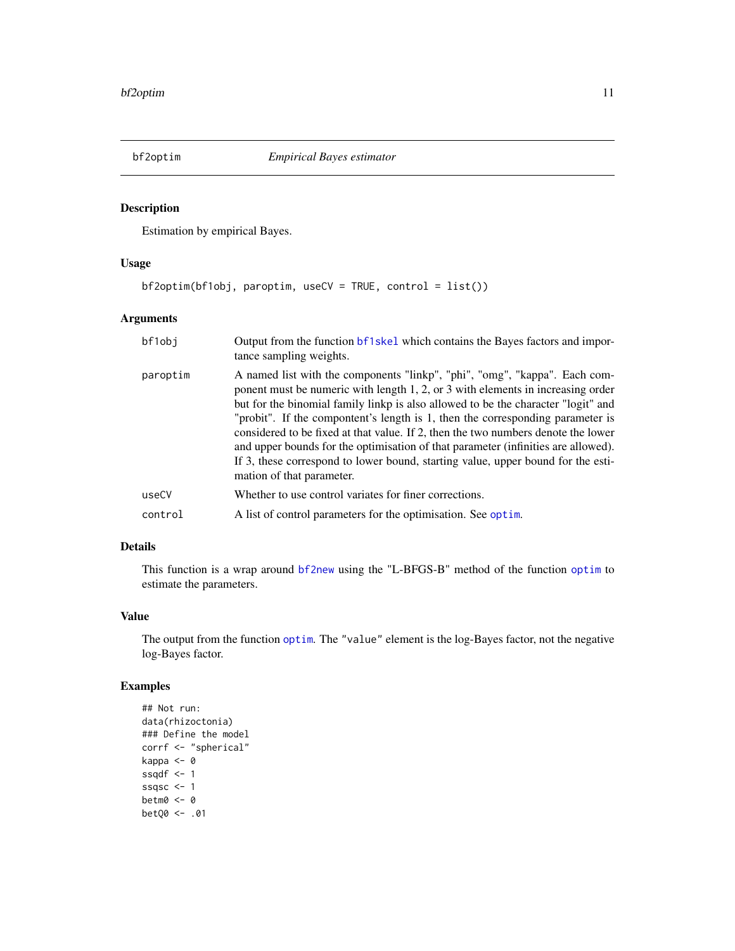<span id="page-10-1"></span><span id="page-10-0"></span>

### Description

Estimation by empirical Bayes.

### Usage

```
bf2optim(bf1obj, paroptim, useCV = TRUE, control = list())
```
### Arguments

| bf1obj   | Output from the function bf1skel which contains the Bayes factors and impor-<br>tance sampling weights.                                                                                                                                                                                                                                                                                                                                                                                                                                                                                                                         |
|----------|---------------------------------------------------------------------------------------------------------------------------------------------------------------------------------------------------------------------------------------------------------------------------------------------------------------------------------------------------------------------------------------------------------------------------------------------------------------------------------------------------------------------------------------------------------------------------------------------------------------------------------|
| paroptim | A named list with the components "linkp", "phi", "omg", "kappa". Each com-<br>ponent must be numeric with length 1, 2, or 3 with elements in increasing order<br>but for the binomial family linkp is also allowed to be the character "logit" and<br>"probit". If the compontent's length is 1, then the corresponding parameter is<br>considered to be fixed at that value. If 2, then the two numbers denote the lower<br>and upper bounds for the optimisation of that parameter (infinities are allowed).<br>If 3, these correspond to lower bound, starting value, upper bound for the esti-<br>mation of that parameter. |
| useCV    | Whether to use control variates for finer corrections.                                                                                                                                                                                                                                                                                                                                                                                                                                                                                                                                                                          |
| control  | A list of control parameters for the optimisation. See optim.                                                                                                                                                                                                                                                                                                                                                                                                                                                                                                                                                                   |

### Details

This function is a wrap around [bf2new](#page-8-1) using the "L-BFGS-B" method of the function [optim](#page-0-0) to estimate the parameters.

### Value

The output from the function [optim](#page-0-0). The "value" element is the log-Bayes factor, not the negative log-Bayes factor.

```
## Not run:
data(rhizoctonia)
### Define the model
corrf <- "spherical"
kappa <- 0
ssqdf \leftarrow 1ssqsc <-1betm0 <- 0
betQ0 <- .01
```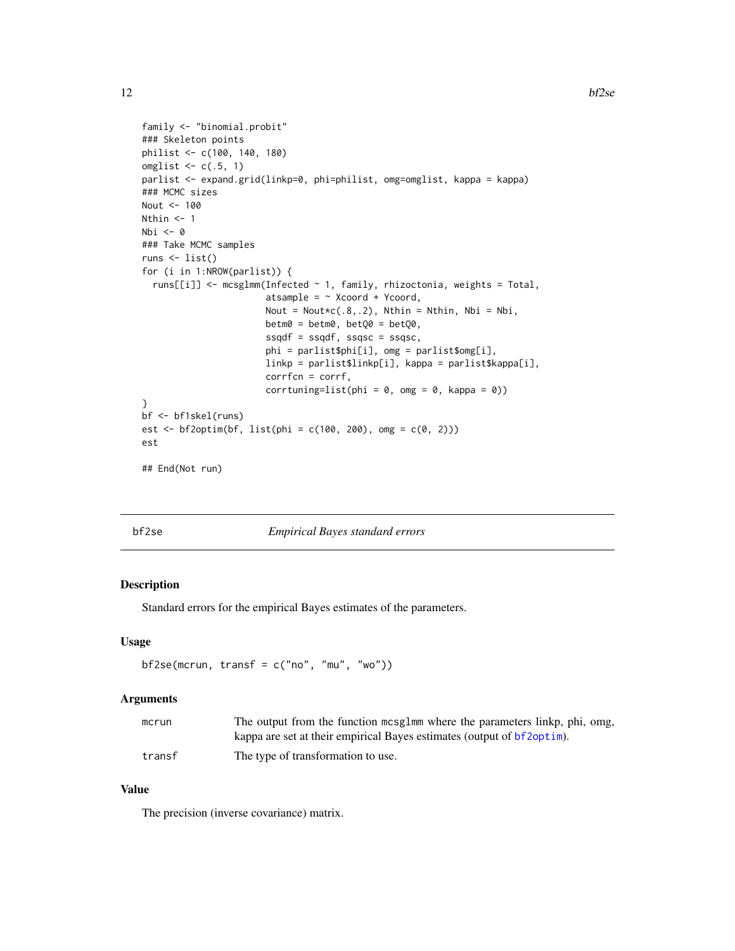```
family <- "binomial.probit"
### Skeleton points
philist <- c(100, 140, 180)
omglist \leq c(.5, 1)
parlist <- expand.grid(linkp=0, phi=philist, omg=omglist, kappa = kappa)
### MCMC sizes
Nout <- 100
Nthin <- 1
Nbi \leq -\emptyset### Take MCMC samples
runs <- list()
for (i in 1:NROW(parlist)) {
  runs[[i]] <- mcsglmm(Infected ~ 1, family, rhizoctonia, weights = Total,
                       atsample = \sim Xcoord + Ycoord,
                       Nout = Nout*c(.8,.2), Nthin = Nthin, Nbi = Nbi,
                       betm0 = betm0, betQ0 = betQ0,
                       ssqdf = ssqdf, ssqsc = ssqsc,
                       phi = parlist$phi[i], omg = parlist$omg[i],
                       linkp = parlist$linkp[i], kappa = parlist$kappa[i],
                       corrfcn = corrf,
                       corrtuning=list(phi = 0, omg = 0, kappa = 0))
}
bf <- bf1skel(runs)
est <- bf2optim(bf, list(phi = c(100, 200), omg = c(0, 2)))
est
## End(Not run)
```
bf2se *Empirical Bayes standard errors*

### Description

Standard errors for the empirical Bayes estimates of the parameters.

### Usage

```
bf2se(mcrun, transf = c("no", "mu", "wo"))
```
### Arguments

| mcrun  | The output from the function mcsg1mm where the parameters linkp, phi, omg, |
|--------|----------------------------------------------------------------------------|
|        | kappa are set at their empirical Bayes estimates (output of bf2optim).     |
| transf | The type of transformation to use.                                         |

### Value

The precision (inverse covariance) matrix.

<span id="page-11-0"></span>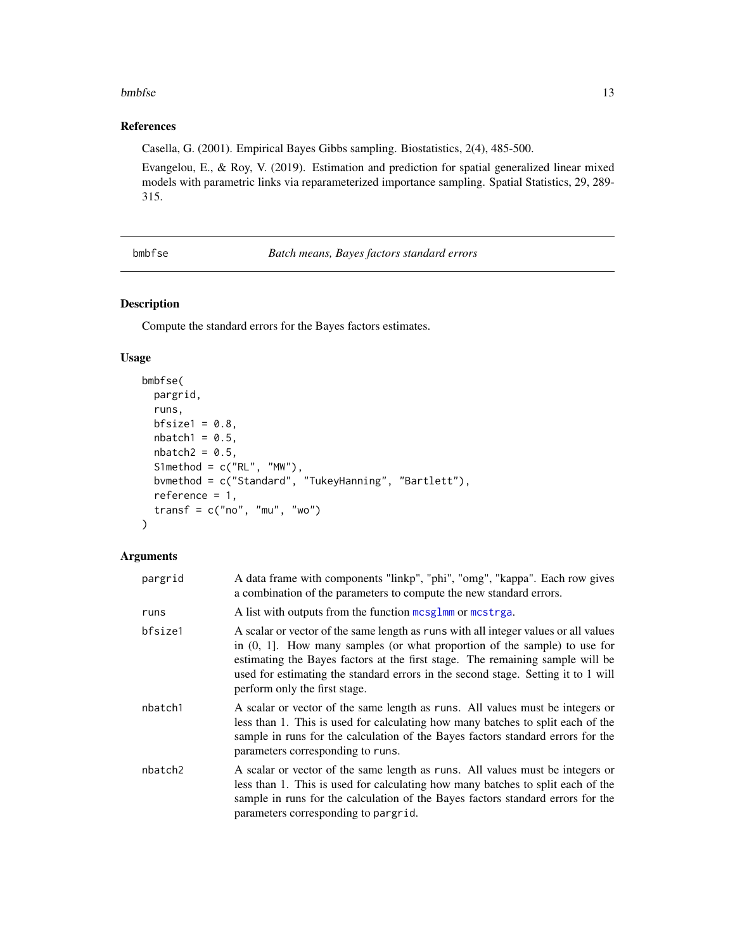### <span id="page-12-0"></span>bmbfse and the state of the state of the state of the state of the state of the state of the state of the state of the state of the state of the state of the state of the state of the state of the state of the state of the

### References

Casella, G. (2001). Empirical Bayes Gibbs sampling. Biostatistics, 2(4), 485-500.

Evangelou, E., & Roy, V. (2019). Estimation and prediction for spatial generalized linear mixed models with parametric links via reparameterized importance sampling. Spatial Statistics, 29, 289- 315.

bmbfse *Batch means, Bayes factors standard errors*

### Description

Compute the standard errors for the Bayes factors estimates.

### Usage

```
bmbfse(
 pargrid,
 runs,
 bfsize1 = 0.8,
 nbatch1 = 0.5,
 nbatch2 = 0.5,
  S1method = c("RL", "MW"),
 bvmethod = c("Standard", "TukeyHanning", "Bartlett"),
  reference = 1,
  transf = c("no", "mu", "wo")\mathcal{L}
```
### Arguments

| pargrid | A data frame with components "linkp", "phi", "omg", "kappa". Each row gives<br>a combination of the parameters to compute the new standard errors.                                                                                                                                                                                                                         |
|---------|----------------------------------------------------------------------------------------------------------------------------------------------------------------------------------------------------------------------------------------------------------------------------------------------------------------------------------------------------------------------------|
| runs    | A list with outputs from the function mcsglmm or mcstrga.                                                                                                                                                                                                                                                                                                                  |
| bfsize1 | A scalar or vector of the same length as runs with all integer values or all values<br>in $(0, 1]$ . How many samples (or what proportion of the sample) to use for<br>estimating the Bayes factors at the first stage. The remaining sample will be<br>used for estimating the standard errors in the second stage. Setting it to 1 will<br>perform only the first stage. |
| nbatch1 | A scalar or vector of the same length as runs. All values must be integers or<br>less than 1. This is used for calculating how many batches to split each of the<br>sample in runs for the calculation of the Bayes factors standard errors for the<br>parameters corresponding to runs.                                                                                   |
| nbatch2 | A scalar or vector of the same length as runs. All values must be integers or<br>less than 1. This is used for calculating how many batches to split each of the<br>sample in runs for the calculation of the Bayes factors standard errors for the<br>parameters corresponding to pargrid.                                                                                |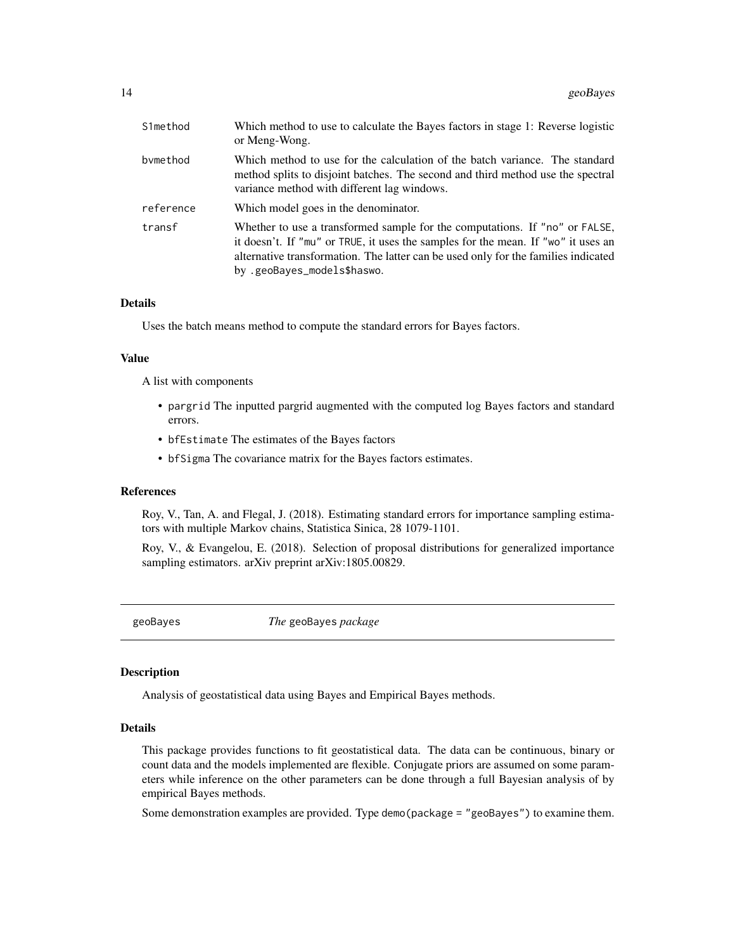<span id="page-13-0"></span>

| S1method  | Which method to use to calculate the Bayes factors in stage 1: Reverse logistic<br>or Meng-Wong.                                                                                                                                                                                      |
|-----------|---------------------------------------------------------------------------------------------------------------------------------------------------------------------------------------------------------------------------------------------------------------------------------------|
| bymethod  | Which method to use for the calculation of the batch variance. The standard<br>method splits to disjoint batches. The second and third method use the spectral<br>variance method with different lag windows.                                                                         |
| reference | Which model goes in the denominator.                                                                                                                                                                                                                                                  |
| transf    | Whether to use a transformed sample for the computations. If "no" or FALSE,<br>it doesn't. If "mu" or TRUE, it uses the samples for the mean. If "wo" it uses an<br>alternative transformation. The latter can be used only for the families indicated<br>by .geoBayes_models\$haswo. |

### Details

Uses the batch means method to compute the standard errors for Bayes factors.

#### Value

A list with components

- pargrid The inputted pargrid augmented with the computed log Bayes factors and standard errors.
- bfEstimate The estimates of the Bayes factors
- bfSigma The covariance matrix for the Bayes factors estimates.

#### References

Roy, V., Tan, A. and Flegal, J. (2018). Estimating standard errors for importance sampling estimators with multiple Markov chains, Statistica Sinica, 28 1079-1101.

Roy, V., & Evangelou, E. (2018). Selection of proposal distributions for generalized importance sampling estimators. arXiv preprint arXiv:1805.00829.

geoBayes *The* geoBayes *package*

### Description

Analysis of geostatistical data using Bayes and Empirical Bayes methods.

#### Details

This package provides functions to fit geostatistical data. The data can be continuous, binary or count data and the models implemented are flexible. Conjugate priors are assumed on some parameters while inference on the other parameters can be done through a full Bayesian analysis of by empirical Bayes methods.

Some demonstration examples are provided. Type demo(package = "geoBayes") to examine them.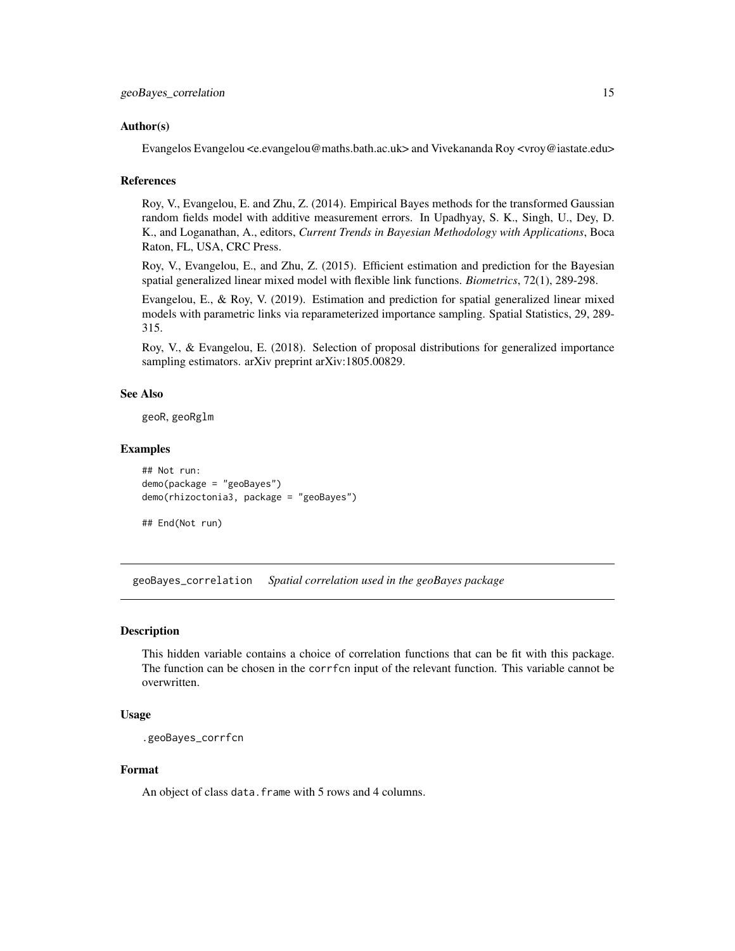### <span id="page-14-0"></span>Author(s)

Evangelos Evangelou <e.evangelou@maths.bath.ac.uk> and Vivekananda Roy <vroy@iastate.edu>

### References

Roy, V., Evangelou, E. and Zhu, Z. (2014). Empirical Bayes methods for the transformed Gaussian random fields model with additive measurement errors. In Upadhyay, S. K., Singh, U., Dey, D. K., and Loganathan, A., editors, *Current Trends in Bayesian Methodology with Applications*, Boca Raton, FL, USA, CRC Press.

Roy, V., Evangelou, E., and Zhu, Z. (2015). Efficient estimation and prediction for the Bayesian spatial generalized linear mixed model with flexible link functions. *Biometrics*, 72(1), 289-298.

Evangelou, E., & Roy, V. (2019). Estimation and prediction for spatial generalized linear mixed models with parametric links via reparameterized importance sampling. Spatial Statistics, 29, 289- 315.

Roy, V., & Evangelou, E. (2018). Selection of proposal distributions for generalized importance sampling estimators. arXiv preprint arXiv:1805.00829.

### See Also

geoR, geoRglm

### Examples

```
## Not run:
demo(package = "geoBayes")
demo(rhizoctonia3, package = "geoBayes")
```

```
## End(Not run)
```
<span id="page-14-2"></span>geoBayes\_correlation *Spatial correlation used in the geoBayes package*

### <span id="page-14-1"></span>**Description**

This hidden variable contains a choice of correlation functions that can be fit with this package. The function can be chosen in the corrfcn input of the relevant function. This variable cannot be overwritten.

### Usage

```
.geoBayes_corrfcn
```
#### Format

An object of class data. frame with 5 rows and 4 columns.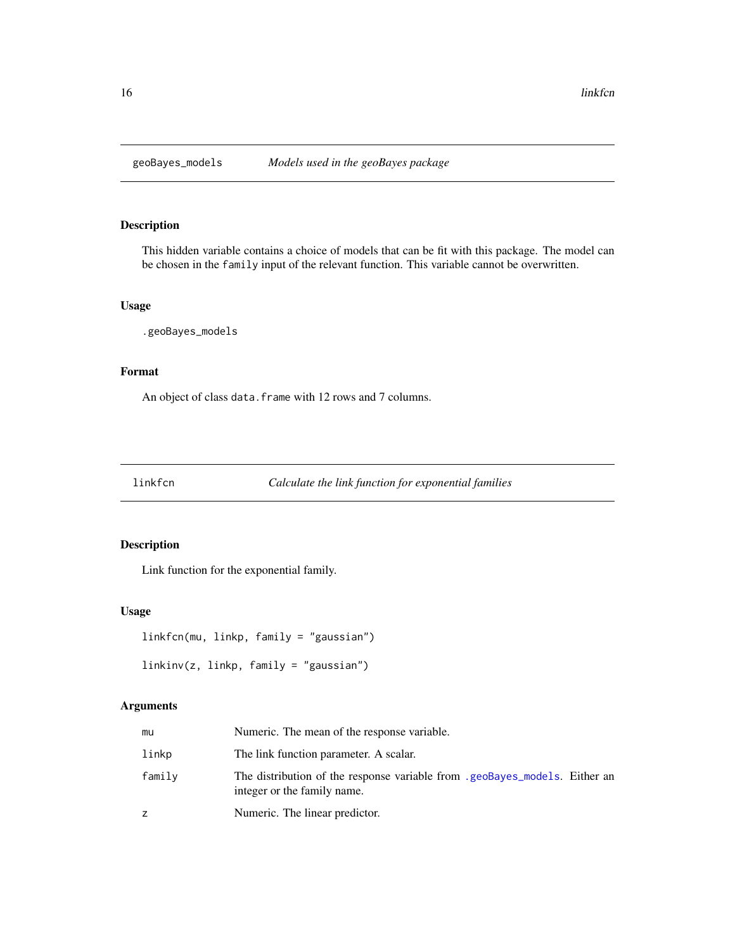<span id="page-15-0"></span>

### <span id="page-15-1"></span>Description

This hidden variable contains a choice of models that can be fit with this package. The model can be chosen in the family input of the relevant function. This variable cannot be overwritten.

### Usage

.geoBayes\_models

### Format

An object of class data. frame with 12 rows and 7 columns.

| Calculate the link function for exponential families | linkfcn |  |  |  |  |
|------------------------------------------------------|---------|--|--|--|--|
|------------------------------------------------------|---------|--|--|--|--|

### Description

Link function for the exponential family.

### Usage

linkfcn(mu, linkp, family = "gaussian")

linkinv(z, linkp, family = "gaussian")

### Arguments

| mu     | Numeric. The mean of the response variable.                                                               |
|--------|-----------------------------------------------------------------------------------------------------------|
| linkp  | The link function parameter. A scalar.                                                                    |
| family | The distribution of the response variable from .geoBayes_models. Either an<br>integer or the family name. |
|        | Numeric. The linear predictor.                                                                            |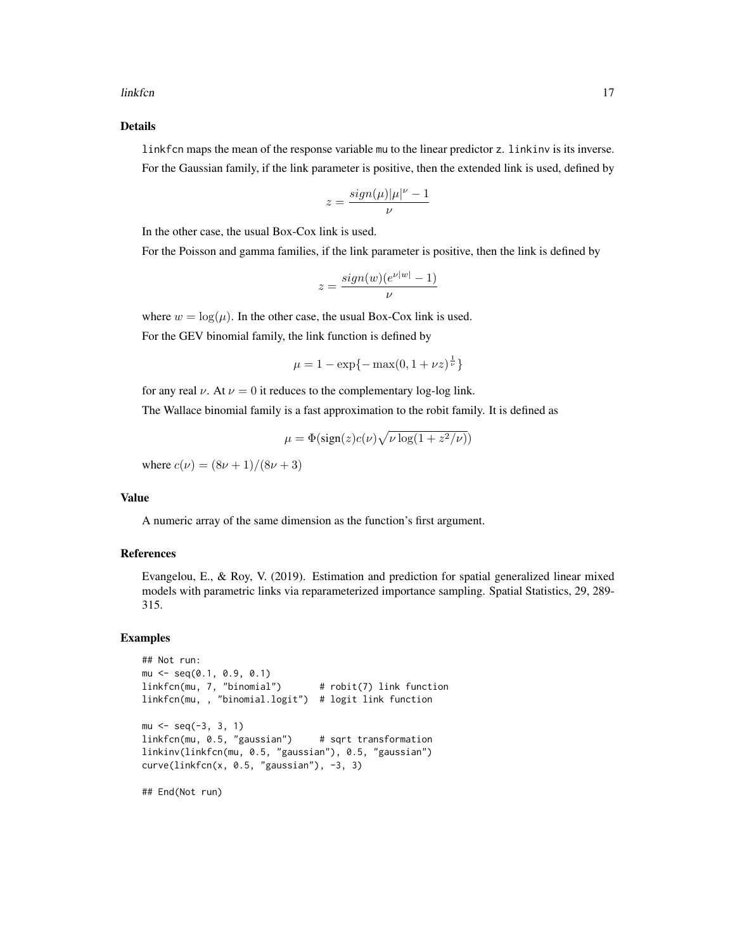### Details

linkfcn maps the mean of the response variable mu to the linear predictor z. linkinv is its inverse. For the Gaussian family, if the link parameter is positive, then the extended link is used, defined by

$$
z = \frac{sign(\mu)|\mu|^{\nu} - 1}{\nu}
$$

In the other case, the usual Box-Cox link is used.

For the Poisson and gamma families, if the link parameter is positive, then the link is defined by

$$
z = \frac{sign(w)(e^{\nu|w|} - 1)}{\nu}
$$

where  $w = \log(\mu)$ . In the other case, the usual Box-Cox link is used.

For the GEV binomial family, the link function is defined by

$$
\mu = 1 - \exp\{-\max(0, 1 + \nu z)^{\frac{1}{\nu}}\}
$$

for any real  $\nu$ . At  $\nu = 0$  it reduces to the complementary log-log link.

The Wallace binomial family is a fast approximation to the robit family. It is defined as

$$
\mu = \Phi(\text{sign}(z)c(\nu)\sqrt{\nu\log(1+z^2/\nu)})
$$

where  $c(\nu) = (8\nu + 1)/(8\nu + 3)$ 

### Value

A numeric array of the same dimension as the function's first argument.

#### References

Evangelou, E., & Roy, V. (2019). Estimation and prediction for spatial generalized linear mixed models with parametric links via reparameterized importance sampling. Spatial Statistics, 29, 289- 315.

```
## Not run:
mu <- seq(0.1, 0.9, 0.1)
linkfcn(mu, 7, "binomial") # robit(7) link function
linkfcn(mu, , "binomial.logit") # logit link function
mu \le - seq(-3, 3, 1)
linkfcn(mu, 0.5, "gaussian") # sqrt transformation
linkinv(linkfcn(mu, 0.5, "gaussian"), 0.5, "gaussian")
curve(linkfcn(x, 0.5, "gaussian"), -3, 3)
```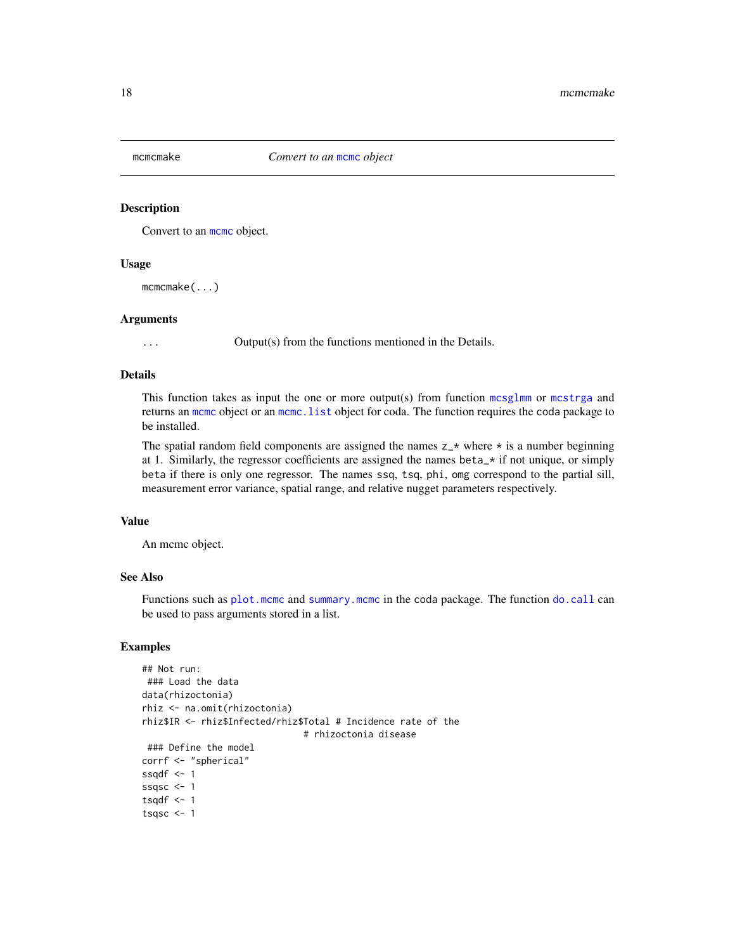<span id="page-17-0"></span>

### Description

Convert to an mome object.

### Usage

mcmcmake(...)

#### Arguments

... Output(s) from the functions mentioned in the Details.

### Details

This function takes as input the one or more output(s) from function [mcsglmm](#page-18-1) or [mcstrga](#page-26-1) and returns an [mcmc](#page-0-0) object or an [mcmc.list](#page-0-0) object for coda. The function requires the coda package to be installed.

The spatial random field components are assigned the names  $z_{\text{-}}\star$  where  $\star$  is a number beginning at 1. Similarly, the regressor coefficients are assigned the names beta\_\* if not unique, or simply beta if there is only one regressor. The names ssq, tsq, phi, omg correspond to the partial sill, measurement error variance, spatial range, and relative nugget parameters respectively.

### Value

An mcmc object.

### See Also

Functions such as [plot.mcmc](#page-0-0) and [summary.mcmc](#page-0-0) in the coda package. The function [do.call](#page-0-0) can be used to pass arguments stored in a list.

```
## Not run:
### Load the data
data(rhizoctonia)
rhiz <- na.omit(rhizoctonia)
rhiz$IR <- rhiz$Infected/rhiz$Total # Incidence rate of the
                               # rhizoctonia disease
### Define the model
corrf <- "spherical"
ssqdf \leq -1ssqsc <-1tsqdf \leftarrow 1tsqsc <-1
```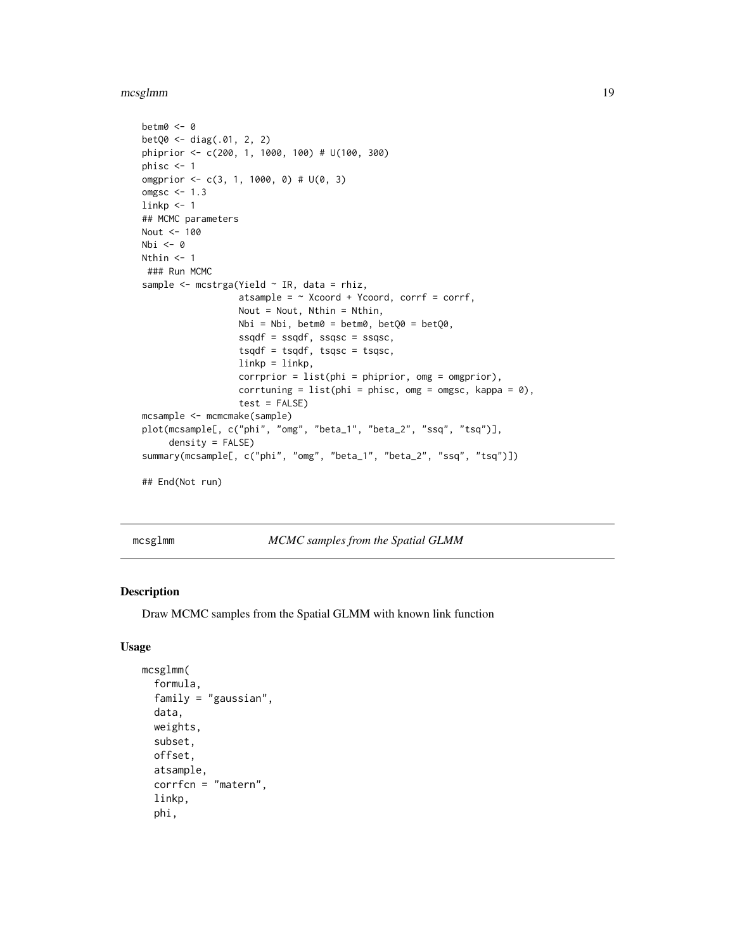### <span id="page-18-0"></span>mcsglmm and the control of the control of the control of the control of the control of the control of the control of the control of the control of the control of the control of the control of the control of the control of

```
betm0 < -0betQ0 <- diag(.01, 2, 2)
phiprior <- c(200, 1, 1000, 100) # U(100, 300)
phisc <-1omgprior <- c(3, 1, 1000, 0) # U(0, 3)
omgsc <-1.3linkp < -1## MCMC parameters
Nout <- 100
Nbi \leq -\emptysetNthin <- 1
### Run MCMC
sample \leq mcstrga(Yield \sim IR, data = rhiz,
                   atsample = \sim Xcoord + Ycoord, corrf = corrf,
                  Nout = Nout, Nthin = Nthin,
                  Nbi = Nbi, betm0 = betm0, betQ0 = betQ0,
                   ssqdf = ssqdf, ssqsc = ssqsc,
                  tsqdf = tsqdf, tsqsc = tsqsc,
                  linkp = linkp,
                   corrprior = list(\phi h i = phi \phi r, \omega g = o m g \phi r),corrtuning = list(phi = phisc, omg = omgsc, kappa = 0),
                  test = FALSE)mcsample <- mcmcmake(sample)
plot(mcsample[, c("phi", "omg", "beta_1", "beta_2", "ssq", "tsq")],
     density = FALSE)
summary(mcsample[, c("phi", "omg", "beta_1", "beta_2", "ssq", "tsq")])
## End(Not run)
```
<span id="page-18-1"></span>mcsglmm *MCMC samples from the Spatial GLMM*

### Description

Draw MCMC samples from the Spatial GLMM with known link function

### Usage

```
mcsglmm(
  formula,
  family = "gaussian",
  data,
  weights,
  subset,
  offset,
  atsample,
  corrfcn = "matern",
  linkp,
  phi,
```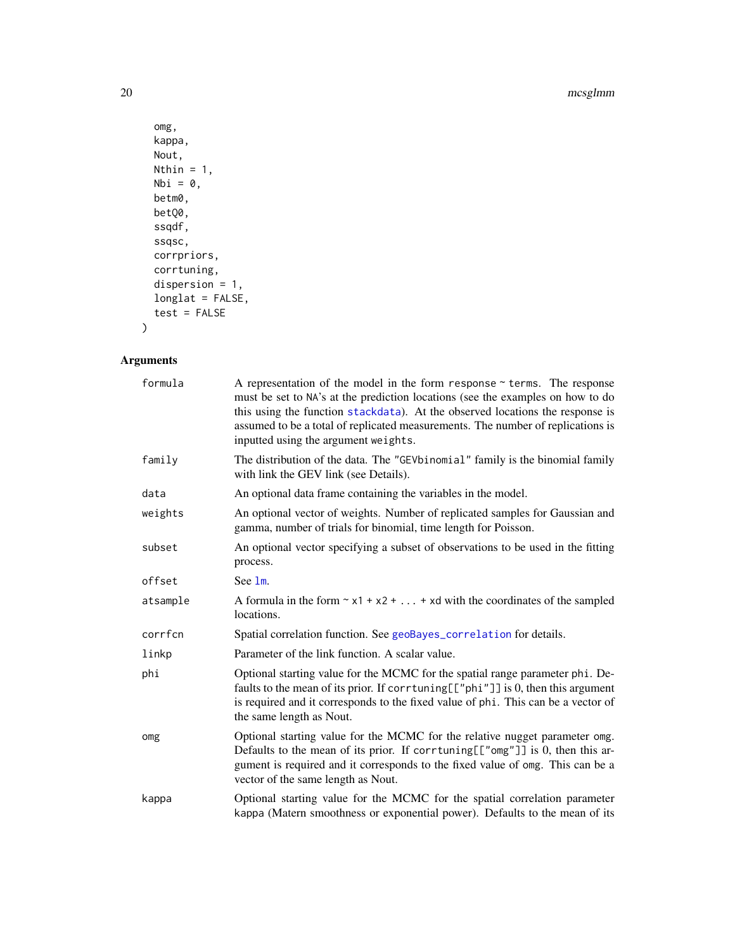20 mcsglmm and the contract of the contract of the contract of the contract of the contract of the contract of the contract of the contract of the contract of the contract of the contract of the contract of the contract of

```
omg,
kappa,
Nout,
Nthin = 1,Nbi = \emptyset,
betm0,
betQ0,
ssqdf,
ssqsc,
corrpriors,
corrtuning,
dispersion = 1,
longlat = FALSE,
test = FALSE
```
### Arguments

 $\mathcal{L}$ 

| formula  | A representation of the model in the form response $\sim$ terms. The response<br>must be set to NA's at the prediction locations (see the examples on how to do<br>this using the function stackdata). At the observed locations the response is<br>assumed to be a total of replicated measurements. The number of replications is<br>inputted using the argument weights. |
|----------|-----------------------------------------------------------------------------------------------------------------------------------------------------------------------------------------------------------------------------------------------------------------------------------------------------------------------------------------------------------------------------|
| family   | The distribution of the data. The "GEVbinomial" family is the binomial family<br>with link the GEV link (see Details).                                                                                                                                                                                                                                                      |
| data     | An optional data frame containing the variables in the model.                                                                                                                                                                                                                                                                                                               |
| weights  | An optional vector of weights. Number of replicated samples for Gaussian and<br>gamma, number of trials for binomial, time length for Poisson.                                                                                                                                                                                                                              |
| subset   | An optional vector specifying a subset of observations to be used in the fitting<br>process.                                                                                                                                                                                                                                                                                |
| offset   | See 1m.                                                                                                                                                                                                                                                                                                                                                                     |
| atsample | A formula in the form $\sim x1 + x2 +  + xd$ with the coordinates of the sampled<br>locations.                                                                                                                                                                                                                                                                              |
| corrfcn  | Spatial correlation function. See geoBayes_correlation for details.                                                                                                                                                                                                                                                                                                         |
| linkp    | Parameter of the link function. A scalar value.                                                                                                                                                                                                                                                                                                                             |
| phi      | Optional starting value for the MCMC for the spatial range parameter phi. De-<br>faults to the mean of its prior. If corritaing $[[$ "phi"]] is 0, then this argument<br>is required and it corresponds to the fixed value of phi. This can be a vector of<br>the same length as Nout.                                                                                      |
| omg      | Optional starting value for the MCMC for the relative nugget parameter omg.<br>Defaults to the mean of its prior. If corrtuning[["omg"]] is 0, then this ar-<br>gument is required and it corresponds to the fixed value of omg. This can be a<br>vector of the same length as Nout.                                                                                        |
| kappa    | Optional starting value for the MCMC for the spatial correlation parameter<br>kappa (Matern smoothness or exponential power). Defaults to the mean of its                                                                                                                                                                                                                   |

<span id="page-19-0"></span>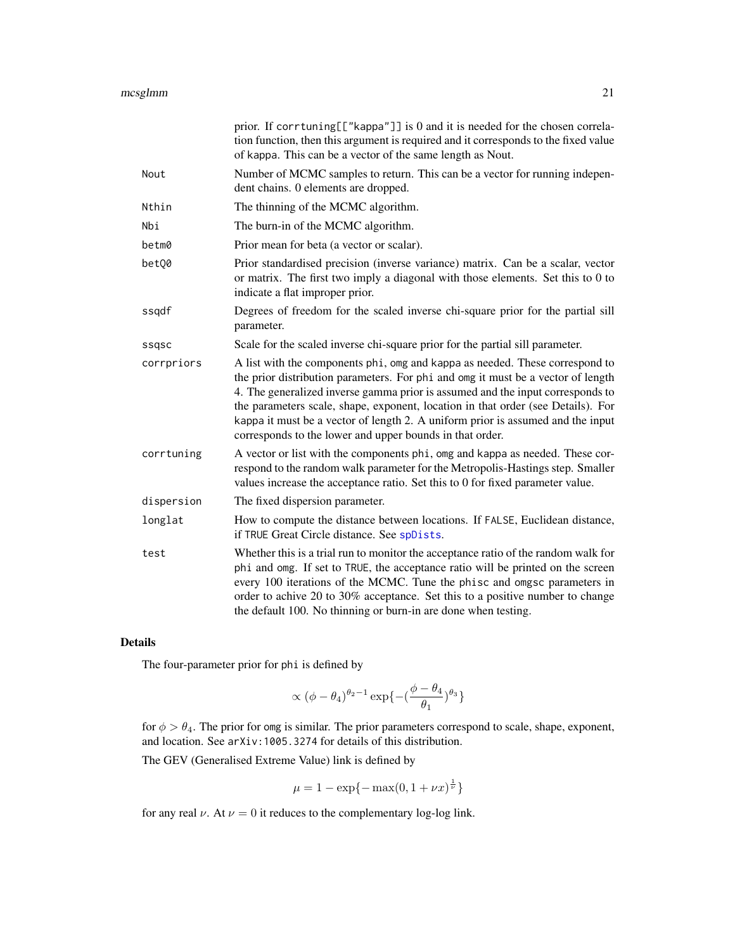<span id="page-20-0"></span>

|            | prior. If corrtuning[["kappa"]] is 0 and it is needed for the chosen correla-<br>tion function, then this argument is required and it corresponds to the fixed value<br>of kappa. This can be a vector of the same length as Nout.                                                                                                                                                                                                                                                    |
|------------|---------------------------------------------------------------------------------------------------------------------------------------------------------------------------------------------------------------------------------------------------------------------------------------------------------------------------------------------------------------------------------------------------------------------------------------------------------------------------------------|
| Nout       | Number of MCMC samples to return. This can be a vector for running indepen-<br>dent chains. 0 elements are dropped.                                                                                                                                                                                                                                                                                                                                                                   |
| Nthin      | The thinning of the MCMC algorithm.                                                                                                                                                                                                                                                                                                                                                                                                                                                   |
| Nbi        | The burn-in of the MCMC algorithm.                                                                                                                                                                                                                                                                                                                                                                                                                                                    |
| betm0      | Prior mean for beta (a vector or scalar).                                                                                                                                                                                                                                                                                                                                                                                                                                             |
| betQ0      | Prior standardised precision (inverse variance) matrix. Can be a scalar, vector<br>or matrix. The first two imply a diagonal with those elements. Set this to 0 to<br>indicate a flat improper prior.                                                                                                                                                                                                                                                                                 |
| ssqdf      | Degrees of freedom for the scaled inverse chi-square prior for the partial sill<br>parameter.                                                                                                                                                                                                                                                                                                                                                                                         |
| ssgsc      | Scale for the scaled inverse chi-square prior for the partial sill parameter.                                                                                                                                                                                                                                                                                                                                                                                                         |
| corrpriors | A list with the components phi, omg and kappa as needed. These correspond to<br>the prior distribution parameters. For phi and omg it must be a vector of length<br>4. The generalized inverse gamma prior is assumed and the input corresponds to<br>the parameters scale, shape, exponent, location in that order (see Details). For<br>kappa it must be a vector of length 2. A uniform prior is assumed and the input<br>corresponds to the lower and upper bounds in that order. |
| corrtuning | A vector or list with the components phi, omg and kappa as needed. These cor-<br>respond to the random walk parameter for the Metropolis-Hastings step. Smaller<br>values increase the acceptance ratio. Set this to 0 for fixed parameter value.                                                                                                                                                                                                                                     |
| dispersion | The fixed dispersion parameter.                                                                                                                                                                                                                                                                                                                                                                                                                                                       |
| longlat    | How to compute the distance between locations. If FALSE, Euclidean distance,<br>if TRUE Great Circle distance. See spDists.                                                                                                                                                                                                                                                                                                                                                           |
| test       | Whether this is a trial run to monitor the acceptance ratio of the random walk for<br>phi and omg. If set to TRUE, the acceptance ratio will be printed on the screen<br>every 100 iterations of the MCMC. Tune the phisc and omgsc parameters in<br>order to achive 20 to 30% acceptance. Set this to a positive number to change<br>the default 100. No thinning or burn-in are done when testing.                                                                                  |

### Details

The four-parameter prior for phi is defined by

$$
\propto (\phi - \theta_4)^{\theta_2 - 1} \exp\{-(\frac{\phi - \theta_4}{\theta_1})^{\theta_3}\}
$$

for  $\phi > \theta_4$ . The prior for omg is similar. The prior parameters correspond to scale, shape, exponent, and location. See arXiv:1005.3274 for details of this distribution.

The GEV (Generalised Extreme Value) link is defined by

$$
\mu=1-\exp\{-\max(0,1+\nu x)^{\frac{1}{\nu}}\}
$$

for any real  $\nu$ . At  $\nu = 0$  it reduces to the complementary log-log link.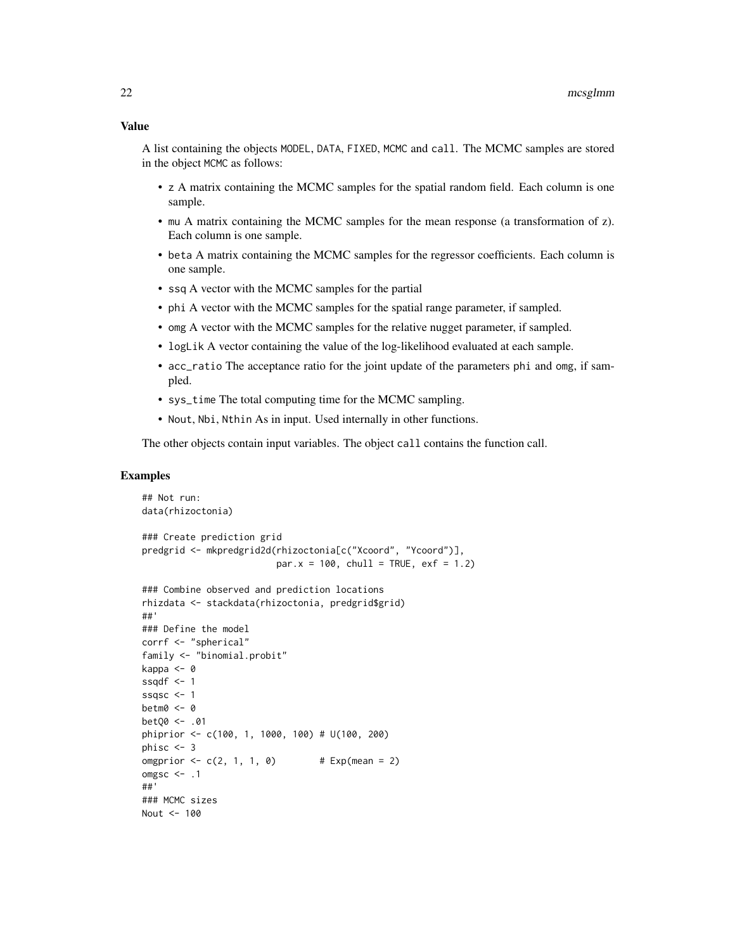### Value

A list containing the objects MODEL, DATA, FIXED, MCMC and call. The MCMC samples are stored in the object MCMC as follows:

- z A matrix containing the MCMC samples for the spatial random field. Each column is one sample.
- mu A matrix containing the MCMC samples for the mean response (a transformation of z). Each column is one sample.
- beta A matrix containing the MCMC samples for the regressor coefficients. Each column is one sample.
- ssq A vector with the MCMC samples for the partial
- phi A vector with the MCMC samples for the spatial range parameter, if sampled.
- omg A vector with the MCMC samples for the relative nugget parameter, if sampled.
- logLik A vector containing the value of the log-likelihood evaluated at each sample.
- acc\_ratio The acceptance ratio for the joint update of the parameters phi and omg, if sampled.
- sys\_time The total computing time for the MCMC sampling.
- Nout, Nbi, Nthin As in input. Used internally in other functions.

The other objects contain input variables. The object call contains the function call.

```
## Not run:
data(rhizoctonia)
### Create prediction grid
predgrid <- mkpredgrid2d(rhizoctonia[c("Xcoord", "Ycoord")],
                         par.x = 100, chull = TRUE, exf = 1.2)
### Combine observed and prediction locations
rhizdata <- stackdata(rhizoctonia, predgrid$grid)
##'
### Define the model
corrf <- "spherical"
family <- "binomial.probit"
kappa <- 0
ssqdf \leq -1ssqsc <-1betm0 <- 0
betQ0 <- .01
phiprior <- c(100, 1, 1000, 100) # U(100, 200)
phisc <-3omgprior \leq -c(2, 1, 1, 0) # Exp(mean = 2)
omgsc \leq -1##'
### MCMC sizes
Nout <- 100
```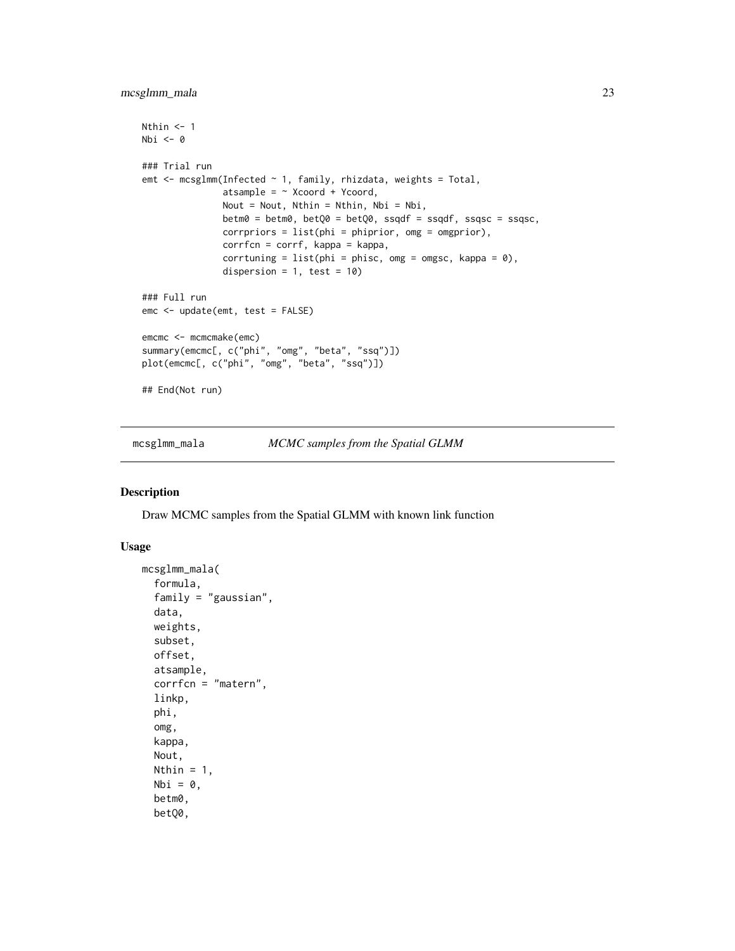```
Nthin <-1Nbi \leftarrow 0### Trial run
emt \leq mcsglmm(Infected \sim 1, family, rhizdata, weights = Total,
               atsample = \sim Xcoord + Ycoord,
               Nout = Nout, Nthin = Nthin, Nbi = Nbi,
               betm0 = betm0, betQ0 = betQ0, ssqdf = ssqdf, ssqsc = ssqsc,
               corrpriors = list(phi = phiprior, omg = omgprior),
               corrfcn = corrf, kappa = kappa,
                corrtuning = list(\phi h i = \phi hisc, \phi g = \phi gsc, \phi hapba = 0),dispersion = 1, test = 10)
### Full run
emc <- update(emt, test = FALSE)
emcmc <- mcmcmake(emc)
summary(emcmc[, c("phi", "omg", "beta", "ssq")])
plot(emcmc[, c("phi", "omg", "beta", "ssq")])
## End(Not run)
```
mcsglmm\_mala *MCMC samples from the Spatial GLMM*

### Description

Draw MCMC samples from the Spatial GLMM with known link function

### Usage

```
mcsglmm_mala(
  formula,
  family = "gaussian",
  data,
 weights,
  subset,
 offset,
  atsample,
  corrfcn = "matern",
  linkp,
 phi,
  omg,
 kappa,
 Nout,
 Nthin = 1,
 Nbi = 0,betm0,
 betQ0,
```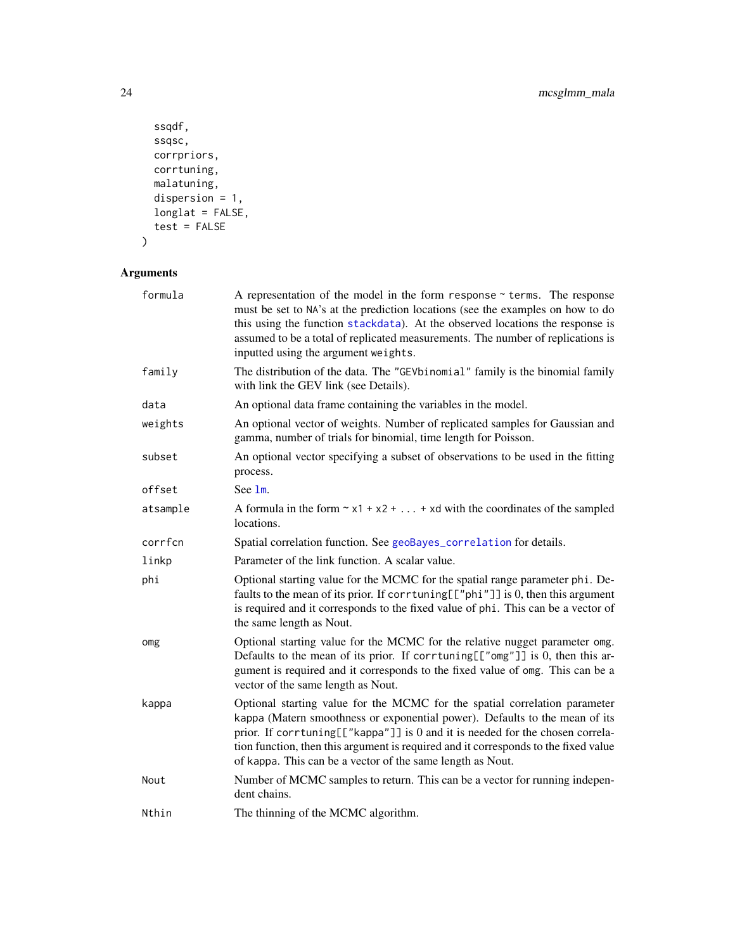```
ssqdf,
 ssqsc,
 corrpriors,
 corrtuning,
 malatuning,
 dispersion = 1,
 longlat = FALSE,
 test = FALSE\mathcal{L}
```
## Arguments

| formula  | A representation of the model in the form response $\sim$ terms. The response<br>must be set to NA's at the prediction locations (see the examples on how to do<br>this using the function stackdata). At the observed locations the response is<br>assumed to be a total of replicated measurements. The number of replications is<br>inputted using the argument weights.                     |
|----------|-------------------------------------------------------------------------------------------------------------------------------------------------------------------------------------------------------------------------------------------------------------------------------------------------------------------------------------------------------------------------------------------------|
| family   | The distribution of the data. The "GEVbinomial" family is the binomial family<br>with link the GEV link (see Details).                                                                                                                                                                                                                                                                          |
| data     | An optional data frame containing the variables in the model.                                                                                                                                                                                                                                                                                                                                   |
| weights  | An optional vector of weights. Number of replicated samples for Gaussian and<br>gamma, number of trials for binomial, time length for Poisson.                                                                                                                                                                                                                                                  |
| subset   | An optional vector specifying a subset of observations to be used in the fitting<br>process.                                                                                                                                                                                                                                                                                                    |
| offset   | See 1m.                                                                                                                                                                                                                                                                                                                                                                                         |
| atsample | A formula in the form $\sim x1 + x2 +  + xd$ with the coordinates of the sampled<br>locations.                                                                                                                                                                                                                                                                                                  |
| corrfcn  | Spatial correlation function. See geoBayes_correlation for details.                                                                                                                                                                                                                                                                                                                             |
| linkp    | Parameter of the link function. A scalar value.                                                                                                                                                                                                                                                                                                                                                 |
| phi      | Optional starting value for the MCMC for the spatial range parameter phi. De-<br>faults to the mean of its prior. If corrtuning [["phi"]] is 0, then this argument<br>is required and it corresponds to the fixed value of phi. This can be a vector of<br>the same length as Nout.                                                                                                             |
| omg      | Optional starting value for the MCMC for the relative nugget parameter omg.<br>Defaults to the mean of its prior. If corrtuning[["omg"]] is 0, then this ar-<br>gument is required and it corresponds to the fixed value of omg. This can be a<br>vector of the same length as Nout.                                                                                                            |
| kappa    | Optional starting value for the MCMC for the spatial correlation parameter<br>kappa (Matern smoothness or exponential power). Defaults to the mean of its<br>prior. If corrtuning[["kappa"]] is 0 and it is needed for the chosen correla-<br>tion function, then this argument is required and it corresponds to the fixed value<br>of kappa. This can be a vector of the same length as Nout. |
| Nout     | Number of MCMC samples to return. This can be a vector for running indepen-<br>dent chains.                                                                                                                                                                                                                                                                                                     |
| Nthin    | The thinning of the MCMC algorithm.                                                                                                                                                                                                                                                                                                                                                             |

<span id="page-23-0"></span>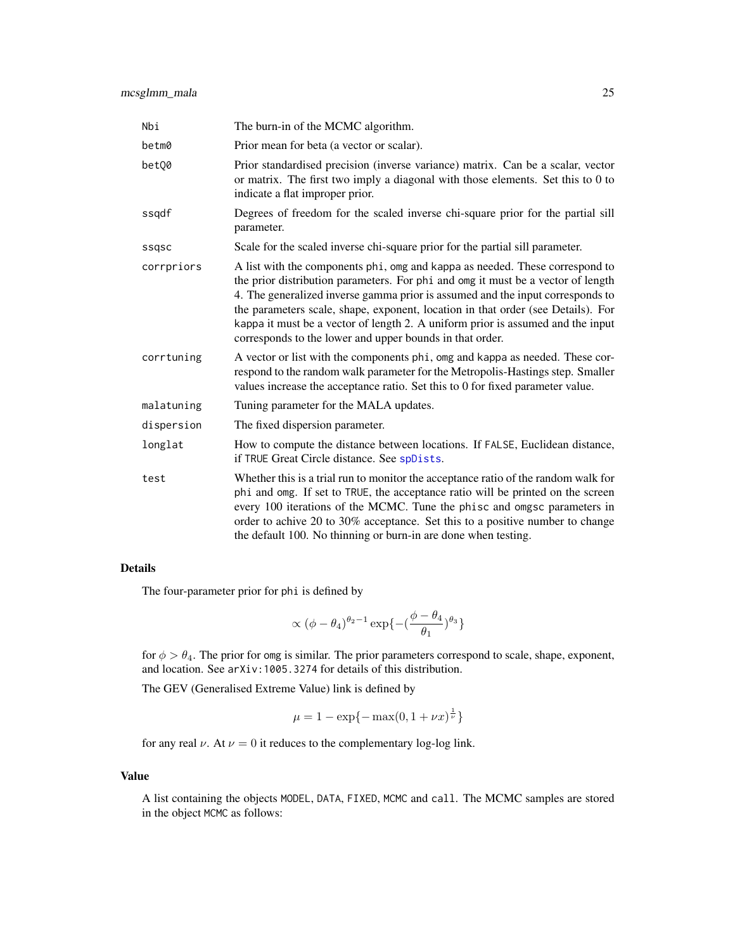<span id="page-24-0"></span>

| Nbi        | The burn-in of the MCMC algorithm.                                                                                                                                                                                                                                                                                                                                                                                                                                                    |
|------------|---------------------------------------------------------------------------------------------------------------------------------------------------------------------------------------------------------------------------------------------------------------------------------------------------------------------------------------------------------------------------------------------------------------------------------------------------------------------------------------|
| betm0      | Prior mean for beta (a vector or scalar).                                                                                                                                                                                                                                                                                                                                                                                                                                             |
| bet00      | Prior standardised precision (inverse variance) matrix. Can be a scalar, vector<br>or matrix. The first two imply a diagonal with those elements. Set this to 0 to<br>indicate a flat improper prior.                                                                                                                                                                                                                                                                                 |
| ssqdf      | Degrees of freedom for the scaled inverse chi-square prior for the partial sill<br>parameter.                                                                                                                                                                                                                                                                                                                                                                                         |
| ssgsc      | Scale for the scaled inverse chi-square prior for the partial sill parameter.                                                                                                                                                                                                                                                                                                                                                                                                         |
| corrpriors | A list with the components phi, omg and kappa as needed. These correspond to<br>the prior distribution parameters. For phi and omg it must be a vector of length<br>4. The generalized inverse gamma prior is assumed and the input corresponds to<br>the parameters scale, shape, exponent, location in that order (see Details). For<br>kappa it must be a vector of length 2. A uniform prior is assumed and the input<br>corresponds to the lower and upper bounds in that order. |
| corrtuning | A vector or list with the components phi, omg and kappa as needed. These cor-<br>respond to the random walk parameter for the Metropolis-Hastings step. Smaller<br>values increase the acceptance ratio. Set this to 0 for fixed parameter value.                                                                                                                                                                                                                                     |
| malatuning | Tuning parameter for the MALA updates.                                                                                                                                                                                                                                                                                                                                                                                                                                                |
| dispersion | The fixed dispersion parameter.                                                                                                                                                                                                                                                                                                                                                                                                                                                       |
| longlat    | How to compute the distance between locations. If FALSE, Euclidean distance,<br>if TRUE Great Circle distance. See spDists.                                                                                                                                                                                                                                                                                                                                                           |
| test       | Whether this is a trial run to monitor the acceptance ratio of the random walk for<br>phi and omg. If set to TRUE, the acceptance ratio will be printed on the screen<br>every 100 iterations of the MCMC. Tune the phisc and omgsc parameters in<br>order to achive 20 to 30% acceptance. Set this to a positive number to change<br>the default 100. No thinning or burn-in are done when testing.                                                                                  |

### Details

The four-parameter prior for phi is defined by

$$
\propto (\phi-\theta_4)^{\theta_2-1}\exp\{-(\frac{\phi-\theta_4}{\theta_1})^{\theta_3}\}
$$

for  $\phi > \theta_4$ . The prior for omg is similar. The prior parameters correspond to scale, shape, exponent, and location. See arXiv:1005.3274 for details of this distribution.

The GEV (Generalised Extreme Value) link is defined by

$$
\mu = 1 - \exp\{-\max(0, 1 + \nu x)^{\frac{1}{\nu}}\}
$$

for any real  $\nu$ . At  $\nu = 0$  it reduces to the complementary log-log link.

### Value

A list containing the objects MODEL, DATA, FIXED, MCMC and call. The MCMC samples are stored in the object MCMC as follows: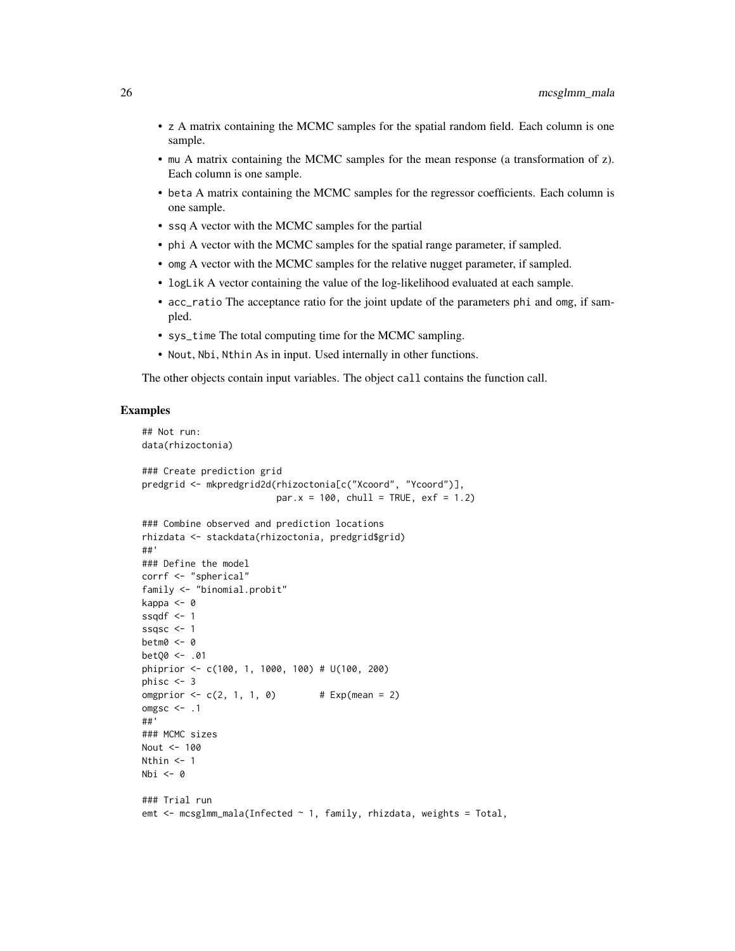- z A matrix containing the MCMC samples for the spatial random field. Each column is one sample.
- mu A matrix containing the MCMC samples for the mean response (a transformation of z). Each column is one sample.
- beta A matrix containing the MCMC samples for the regressor coefficients. Each column is one sample.
- ssq A vector with the MCMC samples for the partial
- phi A vector with the MCMC samples for the spatial range parameter, if sampled.
- omg A vector with the MCMC samples for the relative nugget parameter, if sampled.
- logLik A vector containing the value of the log-likelihood evaluated at each sample.
- acc\_ratio The acceptance ratio for the joint update of the parameters phi and omg, if sampled.
- sys\_time The total computing time for the MCMC sampling.
- Nout, Nbi, Nthin As in input. Used internally in other functions.

The other objects contain input variables. The object call contains the function call.

```
## Not run:
data(rhizoctonia)
### Create prediction grid
predgrid <- mkpredgrid2d(rhizoctonia[c("Xcoord", "Ycoord")],
                         par.x = 100, chull = TRUE, exf = 1.2)
### Combine observed and prediction locations
rhizdata <- stackdata(rhizoctonia, predgrid$grid)
##'
### Define the model
corrf <- "spherical"
family <- "binomial.probit"
kappa <- 0
ssqdf \leq -1ssqsc <-1betm0 < -0betQ0 <- .01
phiprior <- c(100, 1, 1000, 100) # U(100, 200)
phisc <-3omgprior <-c(2, 1, 1, 0) # Exp(mean = 2)
omgsc \leq -1##'
### MCMC sizes
Nout <- 100
Nthin <-1Nbi \leq -\emptyset### Trial run
emt \leq mcsglmm_mala(Infected \sim 1, family, rhizdata, weights = Total,
```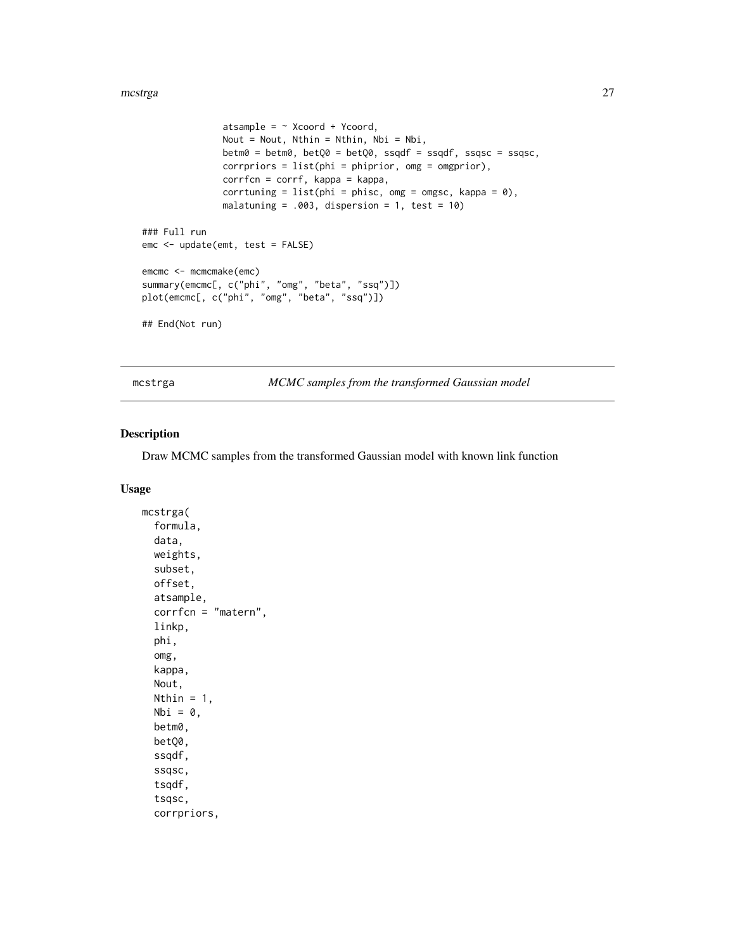```
atsample = \sim Xcoord + Ycoord,
               Nout = Nout, Nthin = Nthin, Nbi = Nbi,
               betm0 = betm0, betQ0 = betQ0, ssqdf = ssqdf, ssqsc = ssqsc,
               corrpriors = list(\phi h i = phiprior, \phi g = omgprior),
               corrfcn = corrf, kappa = kappa,
               corrtuning = list(phi = phisc, omg = omgsc, kappa = 0),
               malatuning = .003, dispersion = 1, test = 10)
### Full run
emc <- update(emt, test = FALSE)
emcmc <- mcmcmake(emc)
summary(emcmc[, c("phi", "omg", "beta", "ssq")])
plot(emcmc[, c("phi", "omg", "beta", "ssq")])
## End(Not run)
```
<span id="page-26-1"></span>mcstrga *MCMC samples from the transformed Gaussian model*

### Description

Draw MCMC samples from the transformed Gaussian model with known link function

### Usage

```
mcstrga(
  formula,
  data,
  weights,
  subset,
  offset,
  atsample,
  corrfcn = "matern",
  linkp,
  phi,
  omg,
  kappa,
  Nout,
  Nthin = 1,
  Nbi = \theta,
  betm0,
  betQ0,
  ssqdf,
  ssqsc,
  tsqdf,
  tsqsc,
  corrpriors,
```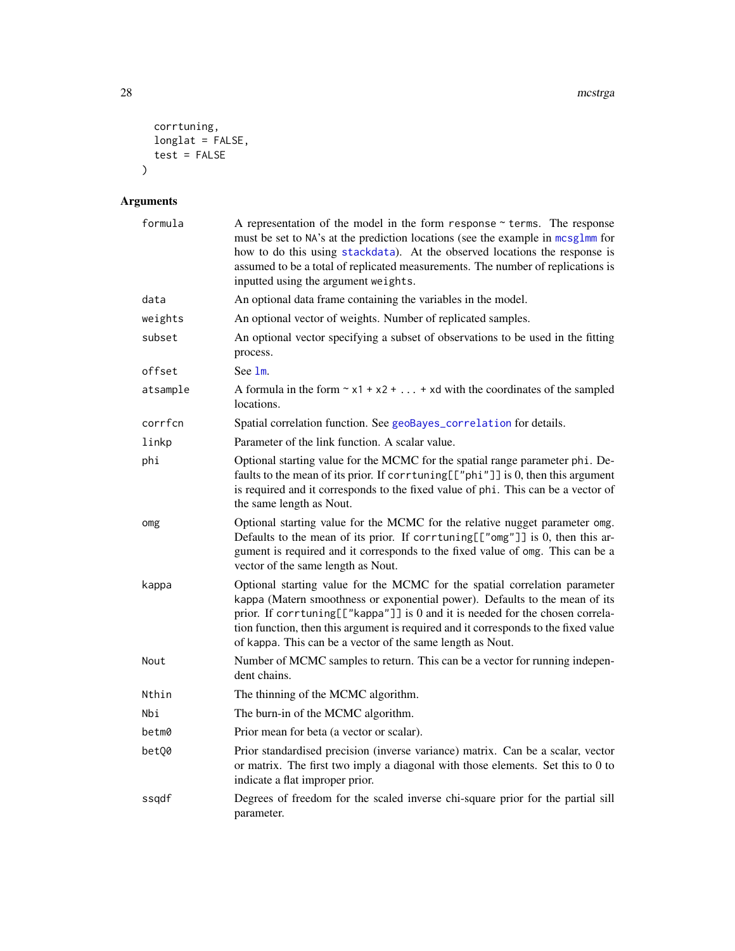```
corrtuning,
  longlat = FALSE,test = FALSE)
```
### Arguments

| formula  | A representation of the model in the form response $\sim$ terms. The response<br>must be set to NA's at the prediction locations (see the example in mcsglmm for<br>how to do this using stackdata). At the observed locations the response is<br>assumed to be a total of replicated measurements. The number of replications is<br>inputted using the argument weights.                       |
|----------|-------------------------------------------------------------------------------------------------------------------------------------------------------------------------------------------------------------------------------------------------------------------------------------------------------------------------------------------------------------------------------------------------|
| data     | An optional data frame containing the variables in the model.                                                                                                                                                                                                                                                                                                                                   |
| weights  | An optional vector of weights. Number of replicated samples.                                                                                                                                                                                                                                                                                                                                    |
| subset   | An optional vector specifying a subset of observations to be used in the fitting<br>process.                                                                                                                                                                                                                                                                                                    |
| offset   | See 1m.                                                                                                                                                                                                                                                                                                                                                                                         |
| atsample | A formula in the form $\sim x1 + x2 +  + xd$ with the coordinates of the sampled<br>locations.                                                                                                                                                                                                                                                                                                  |
| corrfcn  | Spatial correlation function. See geoBayes_correlation for details.                                                                                                                                                                                                                                                                                                                             |
| linkp    | Parameter of the link function. A scalar value.                                                                                                                                                                                                                                                                                                                                                 |
| phi      | Optional starting value for the MCMC for the spatial range parameter phi. De-<br>faults to the mean of its prior. If corrtuning[["phi"]] is 0, then this argument<br>is required and it corresponds to the fixed value of phi. This can be a vector of<br>the same length as Nout.                                                                                                              |
| omg      | Optional starting value for the MCMC for the relative nugget parameter omg.<br>Defaults to the mean of its prior. If corrtuning[["omg"]] is 0, then this ar-<br>gument is required and it corresponds to the fixed value of omg. This can be a<br>vector of the same length as Nout.                                                                                                            |
| kappa    | Optional starting value for the MCMC for the spatial correlation parameter<br>kappa (Matern smoothness or exponential power). Defaults to the mean of its<br>prior. If corrtuning[["kappa"]] is 0 and it is needed for the chosen correla-<br>tion function, then this argument is required and it corresponds to the fixed value<br>of kappa. This can be a vector of the same length as Nout. |
| Nout     | Number of MCMC samples to return. This can be a vector for running indepen-<br>dent chains.                                                                                                                                                                                                                                                                                                     |
| Nthin    | The thinning of the MCMC algorithm.                                                                                                                                                                                                                                                                                                                                                             |
| Nbi      | The burn-in of the MCMC algorithm.                                                                                                                                                                                                                                                                                                                                                              |
| betm0    | Prior mean for beta (a vector or scalar).                                                                                                                                                                                                                                                                                                                                                       |
| betQ0    | Prior standardised precision (inverse variance) matrix. Can be a scalar, vector<br>or matrix. The first two imply a diagonal with those elements. Set this to 0 to<br>indicate a flat improper prior.                                                                                                                                                                                           |
| ssqdf    | Degrees of freedom for the scaled inverse chi-square prior for the partial sill<br>parameter.                                                                                                                                                                                                                                                                                                   |

<span id="page-27-0"></span>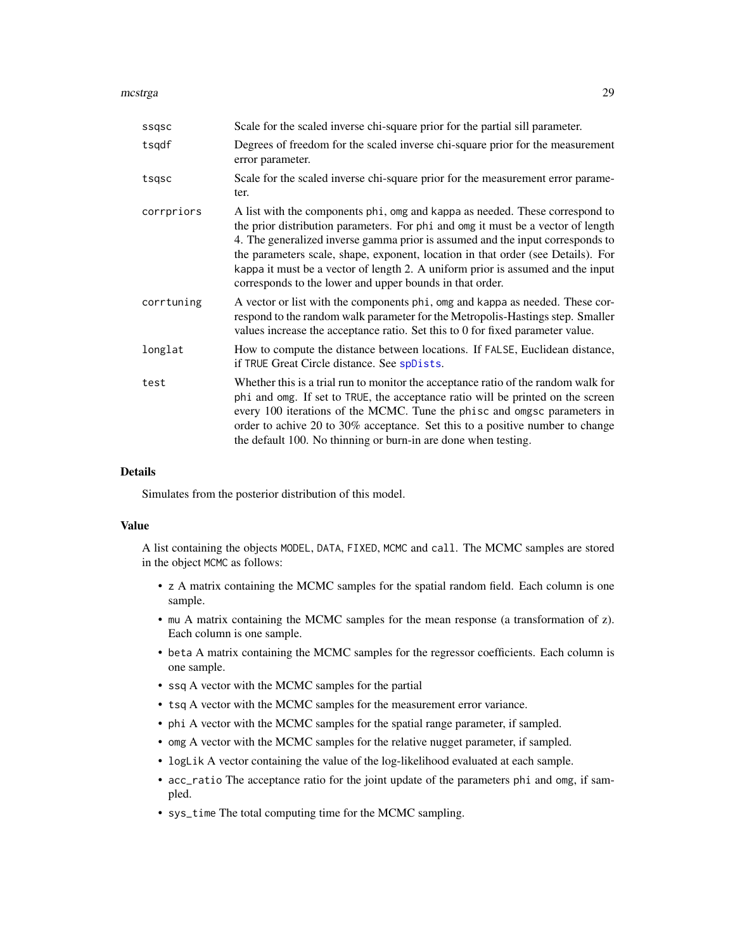### <span id="page-28-0"></span>mcstrga 29

| ssqsc      | Scale for the scaled inverse chi-square prior for the partial sill parameter.                                                                                                                                                                                                                                                                                                                                                                                                         |
|------------|---------------------------------------------------------------------------------------------------------------------------------------------------------------------------------------------------------------------------------------------------------------------------------------------------------------------------------------------------------------------------------------------------------------------------------------------------------------------------------------|
| tsqdf      | Degrees of freedom for the scaled inverse chi-square prior for the measurement<br>error parameter.                                                                                                                                                                                                                                                                                                                                                                                    |
| tsqsc      | Scale for the scaled inverse chi-square prior for the measurement error parame-<br>ter.                                                                                                                                                                                                                                                                                                                                                                                               |
| corrpriors | A list with the components phi, omg and kappa as needed. These correspond to<br>the prior distribution parameters. For phi and omg it must be a vector of length<br>4. The generalized inverse gamma prior is assumed and the input corresponds to<br>the parameters scale, shape, exponent, location in that order (see Details). For<br>kappa it must be a vector of length 2. A uniform prior is assumed and the input<br>corresponds to the lower and upper bounds in that order. |
| corrtuning | A vector or list with the components phi, omg and kappa as needed. These cor-<br>respond to the random walk parameter for the Metropolis-Hastings step. Smaller<br>values increase the acceptance ratio. Set this to 0 for fixed parameter value.                                                                                                                                                                                                                                     |
| longlat    | How to compute the distance between locations. If FALSE, Euclidean distance,<br>if TRUE Great Circle distance. See spDists.                                                                                                                                                                                                                                                                                                                                                           |
| test       | Whether this is a trial run to monitor the acceptance ratio of the random walk for<br>phi and omg. If set to TRUE, the acceptance ratio will be printed on the screen<br>every 100 iterations of the MCMC. Tune the phisc and omgsc parameters in<br>order to achive 20 to 30% acceptance. Set this to a positive number to change<br>the default 100. No thinning or burn-in are done when testing.                                                                                  |

#### Details

Simulates from the posterior distribution of this model.

#### Value

A list containing the objects MODEL, DATA, FIXED, MCMC and call. The MCMC samples are stored in the object MCMC as follows:

- z A matrix containing the MCMC samples for the spatial random field. Each column is one sample.
- mu A matrix containing the MCMC samples for the mean response (a transformation of z). Each column is one sample.
- beta A matrix containing the MCMC samples for the regressor coefficients. Each column is one sample.
- ssq A vector with the MCMC samples for the partial
- tsq A vector with the MCMC samples for the measurement error variance.
- phi A vector with the MCMC samples for the spatial range parameter, if sampled.
- omg A vector with the MCMC samples for the relative nugget parameter, if sampled.
- logLik A vector containing the value of the log-likelihood evaluated at each sample.
- acc\_ratio The acceptance ratio for the joint update of the parameters phi and omg, if sampled.
- sys\_time The total computing time for the MCMC sampling.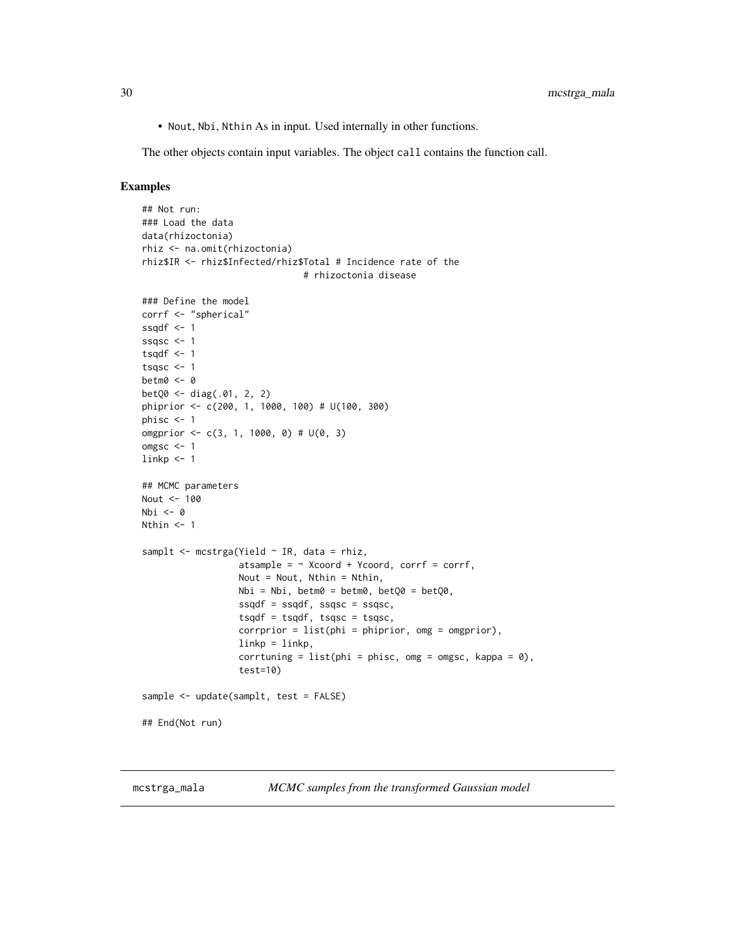<span id="page-29-0"></span>• Nout, Nbi, Nthin As in input. Used internally in other functions.

The other objects contain input variables. The object call contains the function call.

### Examples

```
## Not run:
### Load the data
data(rhizoctonia)
rhiz <- na.omit(rhizoctonia)
rhiz$IR <- rhiz$Infected/rhiz$Total # Incidence rate of the
                               # rhizoctonia disease
### Define the model
corrf <- "spherical"
ssqdf \leq -1ssqsc <-1tsqdf \leq -1tsqsc <-1betm0 <- 0
betQ0 <- diag(.01, 2, 2)
phiprior <- c(200, 1, 1000, 100) # U(100, 300)
phisc <-1omgprior <- c(3, 1, 1000, 0) # U(0, 3)
omgsc <- 1
linkp < -1## MCMC parameters
Nout <- 100
Nbi \leq -\emptysetNthin <- 1
samplt \leq mcstrga(Yield \sim IR, data = rhiz,
                   atsample = \sim Xcoord + Ycoord, corrf = corrf,
                  Nout = Nout, Nthin = Nthin,
                  Nbi = Nbi, betm0 = betm0, betQ0 = betQ0,
                   ssqdf = ssqdf, ssqsc = ssqsc,
                   tsqdf = tsqdf, tsqsc = tsqsc,
                   corrprior = list(\phi h i = phiprior, \phi g = omgprior),
                   linkp = linkp,
                   corrtuning = list(\phi h i = \phi h isc, \phi g = \phi g),
                   test=10)
sample <- update(samplt, test = FALSE)
## End(Not run)
```
mcstrga\_mala *MCMC samples from the transformed Gaussian model*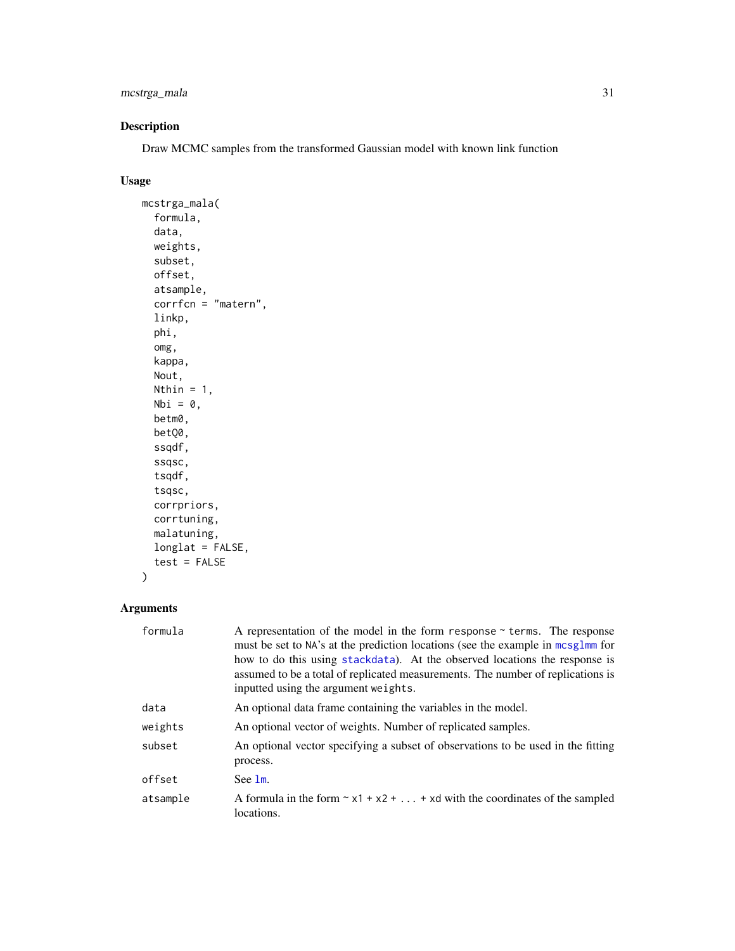<span id="page-30-0"></span>mcstrga\_mala 31

### Description

Draw MCMC samples from the transformed Gaussian model with known link function

### Usage

```
mcstrga_mala(
  formula,
  data,
 weights,
  subset,
  offset,
  atsample,
  corrfcn = "matern",
  linkp,
 phi,
  omg,
  kappa,
 Nout,
 Nthin = 1,
 Nbi = 0,betm0,
 betQ0,
  ssqdf,
  ssqsc,
  tsqdf,
  tsqsc,
  corrpriors,
  corrtuning,
 malatuning,
  longlat = FALSE,
  test = FALSE\mathcal{L}
```
### Arguments

| formula  | A representation of the model in the form response $\sim$ terms. The response<br>must be set to NA's at the prediction locations (see the example in mcsglmm for<br>how to do this using stackdata). At the observed locations the response is<br>assumed to be a total of replicated measurements. The number of replications is<br>inputted using the argument weights. |
|----------|---------------------------------------------------------------------------------------------------------------------------------------------------------------------------------------------------------------------------------------------------------------------------------------------------------------------------------------------------------------------------|
| data     | An optional data frame containing the variables in the model.                                                                                                                                                                                                                                                                                                             |
| weights  | An optional vector of weights. Number of replicated samples.                                                                                                                                                                                                                                                                                                              |
| subset   | An optional vector specifying a subset of observations to be used in the fitting<br>process.                                                                                                                                                                                                                                                                              |
| offset   | See 1m.                                                                                                                                                                                                                                                                                                                                                                   |
| atsample | A formula in the form $\sim x1 + x2 +  + xd$ with the coordinates of the sampled<br>locations.                                                                                                                                                                                                                                                                            |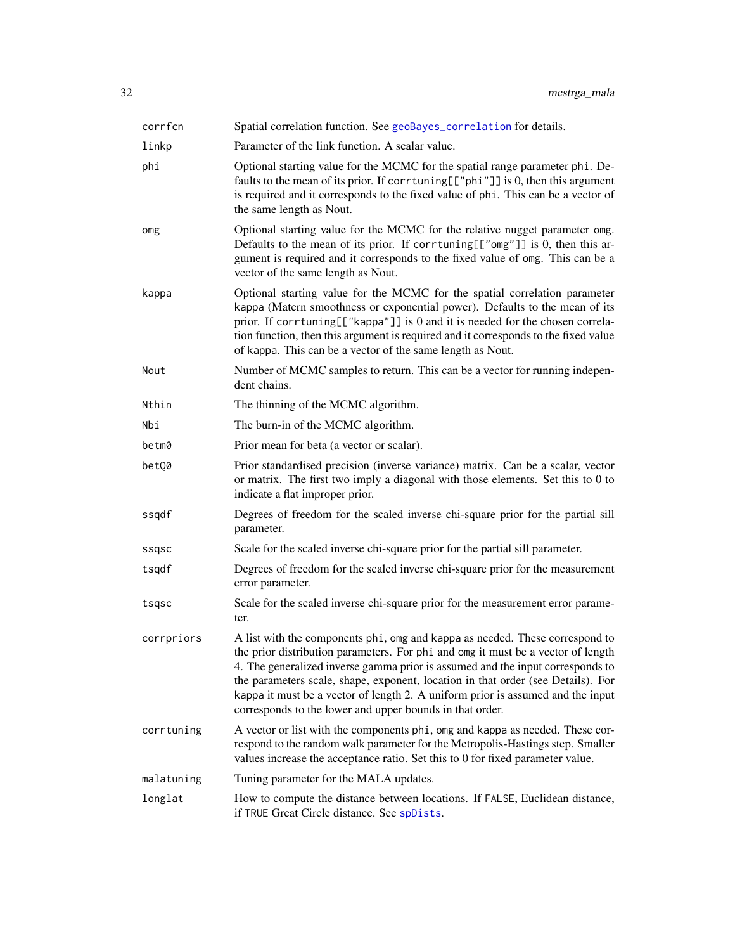<span id="page-31-0"></span>

| corrfcn    | Spatial correlation function. See geoBayes_correlation for details.                                                                                                                                                                                                                                                                                                                                                                                                                   |
|------------|---------------------------------------------------------------------------------------------------------------------------------------------------------------------------------------------------------------------------------------------------------------------------------------------------------------------------------------------------------------------------------------------------------------------------------------------------------------------------------------|
| linkp      | Parameter of the link function. A scalar value.                                                                                                                                                                                                                                                                                                                                                                                                                                       |
| phi        | Optional starting value for the MCMC for the spatial range parameter phi. De-<br>faults to the mean of its prior. If corrtuning [["phi"]] is 0, then this argument<br>is required and it corresponds to the fixed value of phi. This can be a vector of<br>the same length as Nout.                                                                                                                                                                                                   |
| omg        | Optional starting value for the MCMC for the relative nugget parameter omg.<br>Defaults to the mean of its prior. If corrtuning[["omg"]] is 0, then this ar-<br>gument is required and it corresponds to the fixed value of omg. This can be a<br>vector of the same length as Nout.                                                                                                                                                                                                  |
| kappa      | Optional starting value for the MCMC for the spatial correlation parameter<br>kappa (Matern smoothness or exponential power). Defaults to the mean of its<br>prior. If corrtuning[["kappa"]] is 0 and it is needed for the chosen correla-<br>tion function, then this argument is required and it corresponds to the fixed value<br>of kappa. This can be a vector of the same length as Nout.                                                                                       |
| Nout       | Number of MCMC samples to return. This can be a vector for running indepen-<br>dent chains.                                                                                                                                                                                                                                                                                                                                                                                           |
| Nthin      | The thinning of the MCMC algorithm.                                                                                                                                                                                                                                                                                                                                                                                                                                                   |
| Nbi        | The burn-in of the MCMC algorithm.                                                                                                                                                                                                                                                                                                                                                                                                                                                    |
| betm0      | Prior mean for beta (a vector or scalar).                                                                                                                                                                                                                                                                                                                                                                                                                                             |
| betQ0      | Prior standardised precision (inverse variance) matrix. Can be a scalar, vector<br>or matrix. The first two imply a diagonal with those elements. Set this to 0 to<br>indicate a flat improper prior.                                                                                                                                                                                                                                                                                 |
| ssqdf      | Degrees of freedom for the scaled inverse chi-square prior for the partial sill<br>parameter.                                                                                                                                                                                                                                                                                                                                                                                         |
| ssqsc      | Scale for the scaled inverse chi-square prior for the partial sill parameter.                                                                                                                                                                                                                                                                                                                                                                                                         |
| tsqdf      | Degrees of freedom for the scaled inverse chi-square prior for the measurement<br>error parameter.                                                                                                                                                                                                                                                                                                                                                                                    |
| tsqsc      | Scale for the scaled inverse chi-square prior for the measurement error parame-<br>ter.                                                                                                                                                                                                                                                                                                                                                                                               |
| corrpriors | A list with the components phi, omg and kappa as needed. These correspond to<br>the prior distribution parameters. For phi and omg it must be a vector of length<br>4. The generalized inverse gamma prior is assumed and the input corresponds to<br>the parameters scale, shape, exponent, location in that order (see Details). For<br>kappa it must be a vector of length 2. A uniform prior is assumed and the input<br>corresponds to the lower and upper bounds in that order. |
| corrtuning | A vector or list with the components phi, omg and kappa as needed. These cor-<br>respond to the random walk parameter for the Metropolis-Hastings step. Smaller<br>values increase the acceptance ratio. Set this to 0 for fixed parameter value.                                                                                                                                                                                                                                     |
| malatuning | Tuning parameter for the MALA updates.                                                                                                                                                                                                                                                                                                                                                                                                                                                |
| longlat    | How to compute the distance between locations. If FALSE, Euclidean distance,<br>if TRUE Great Circle distance. See spDists.                                                                                                                                                                                                                                                                                                                                                           |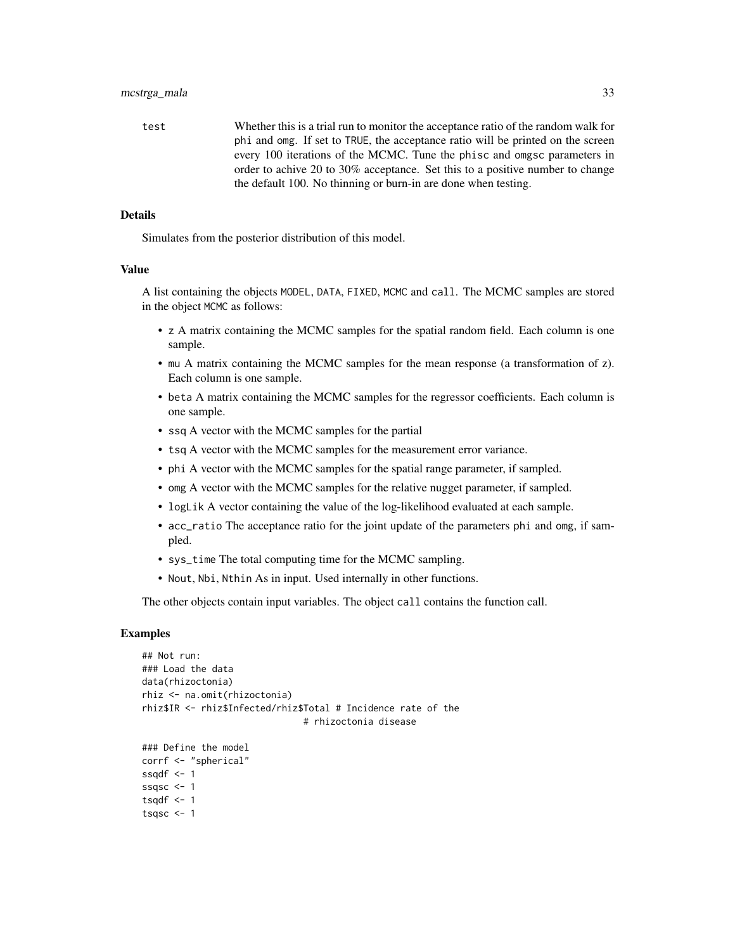test Whether this is a trial run to monitor the acceptance ratio of the random walk for phi and omg. If set to TRUE, the acceptance ratio will be printed on the screen every 100 iterations of the MCMC. Tune the phisc and omgsc parameters in order to achive 20 to 30% acceptance. Set this to a positive number to change the default 100. No thinning or burn-in are done when testing.

### Details

Simulates from the posterior distribution of this model.

### Value

A list containing the objects MODEL, DATA, FIXED, MCMC and call. The MCMC samples are stored in the object MCMC as follows:

- z A matrix containing the MCMC samples for the spatial random field. Each column is one sample.
- mu A matrix containing the MCMC samples for the mean response (a transformation of z). Each column is one sample.
- beta A matrix containing the MCMC samples for the regressor coefficients. Each column is one sample.
- ssq A vector with the MCMC samples for the partial
- tsq A vector with the MCMC samples for the measurement error variance.
- phi A vector with the MCMC samples for the spatial range parameter, if sampled.
- omg A vector with the MCMC samples for the relative nugget parameter, if sampled.
- logLik A vector containing the value of the log-likelihood evaluated at each sample.
- acc\_ratio The acceptance ratio for the joint update of the parameters phi and omg, if sampled.
- sys\_time The total computing time for the MCMC sampling.
- Nout, Nbi, Nthin As in input. Used internally in other functions.

The other objects contain input variables. The object call contains the function call.

```
## Not run:
### Load the data
data(rhizoctonia)
rhiz <- na.omit(rhizoctonia)
rhiz$IR <- rhiz$Infected/rhiz$Total # Incidence rate of the
                               # rhizoctonia disease
### Define the model
corrf <- "spherical"
ssqdf \leq -1ssqsc <-1tsqdf \leftarrow 1tsqsc <-1
```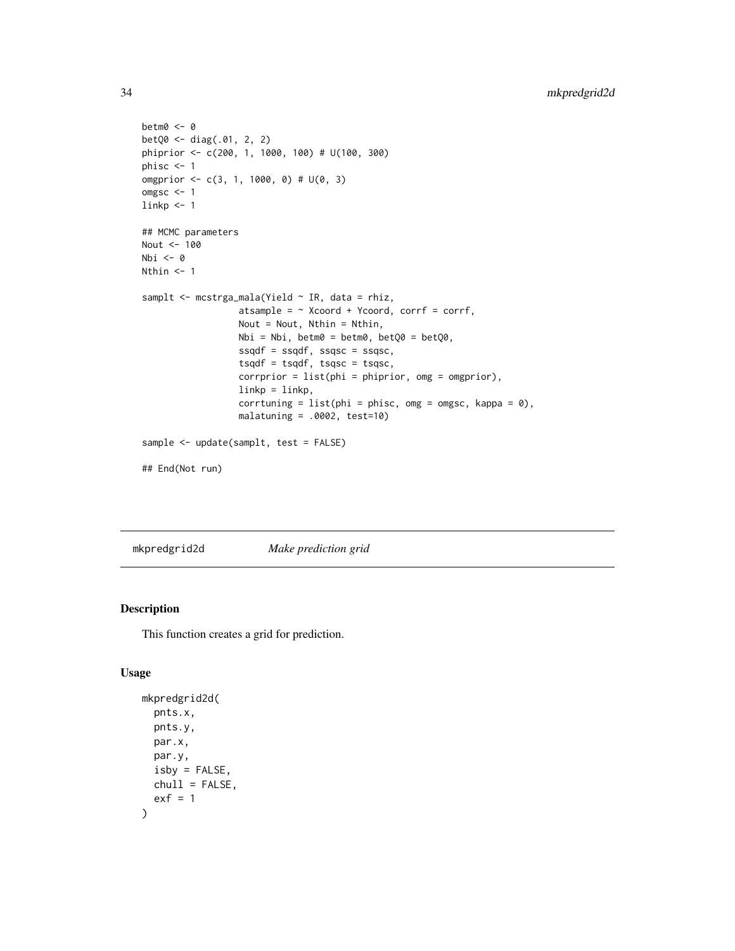```
betm0 <- 0
betQ0 <- diag(.01, 2, 2)
phiprior <- c(200, 1, 1000, 100) # U(100, 300)
phisc <- 1
omgprior <- c(3, 1, 1000, 0) # U(0, 3)
omgsc <- 1
linkp < -1## MCMC parameters
Nout <-100Nbi <- 0
Nthin <- 1
samplt <- mcstrga_mala(Yield ~ IR, data = rhiz,
                  atsample = \sim Xcoord + Ycoord, corrf = corrf,
                  Nout = Nout, Nthin = Nthin,
                  Nbi = Nbi, betm0 = betm0, betQ0 = betQ0,
                  ssqdf = ssqdf, ssqsc = ssqsc,
                  tsqdf = tsqdf, tsqsc = tsqsc,
                  corrprior = list(phi = phiprior, omg = omgprior),linkp = linkp,
                  corrtuning = list(phi = phisc, omg = omgsc, kappa = 0),
                  malatuning = .0002, test=10)
sample <- update(samplt, test = FALSE)
## End(Not run)
```
mkpredgrid2d *Make prediction grid*

### Description

This function creates a grid for prediction.

### Usage

```
mkpredgrid2d(
 pnts.x,
 pnts.y,
 par.x,
 par.y,
 isby = FALSE,chull = FALSE,exf = 1)
```
<span id="page-33-0"></span>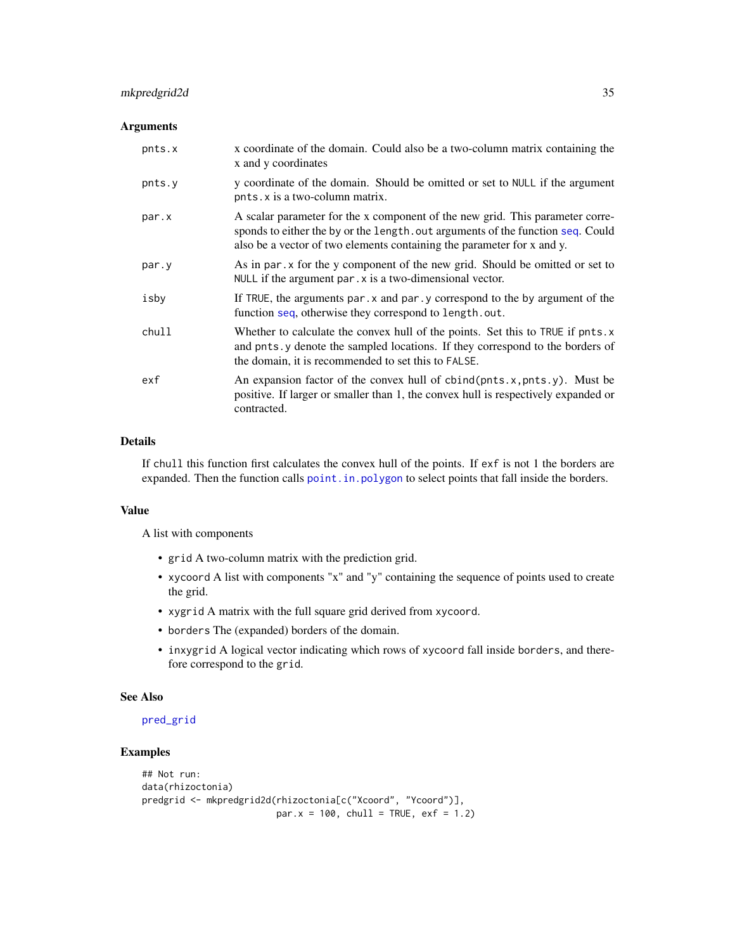### <span id="page-34-0"></span>mkpredgrid2d 35

### Arguments

| pnts.x | x coordinate of the domain. Could also be a two-column matrix containing the<br>x and y coordinates                                                                                                                                        |
|--------|--------------------------------------------------------------------------------------------------------------------------------------------------------------------------------------------------------------------------------------------|
| pnts.y | y coordinate of the domain. Should be omitted or set to NULL if the argument<br>pnts. x is a two-column matrix.                                                                                                                            |
| par.x  | A scalar parameter for the x component of the new grid. This parameter corre-<br>sponds to either the by or the length. out arguments of the function seq. Could<br>also be a vector of two elements containing the parameter for x and y. |
| par.y  | As in par . x for the y component of the new grid. Should be omitted or set to<br>NULL if the argument par. x is a two-dimensional vector.                                                                                                 |
| isby   | If TRUE, the arguments par. x and par. y correspond to the by argument of the<br>function seq, otherwise they correspond to length.out.                                                                                                    |
| chull  | Whether to calculate the convex hull of the points. Set this to TRUE if pnts. x<br>and pnts.y denote the sampled locations. If they correspond to the borders of<br>the domain, it is recommended to set this to FALSE.                    |
| exf    | An expansion factor of the convex hull of cbind( $pnts.x, pnts.y$ ). Must be<br>positive. If larger or smaller than 1, the convex hull is respectively expanded or<br>contracted.                                                          |

### Details

If chull this function first calculates the convex hull of the points. If exf is not 1 the borders are expanded. Then the function calls [point.in.polygon](#page-0-0) to select points that fall inside the borders.

### Value

A list with components

- grid A two-column matrix with the prediction grid.
- xycoord A list with components "x" and "y" containing the sequence of points used to create the grid.
- xygrid A matrix with the full square grid derived from xycoord.
- borders The (expanded) borders of the domain.
- inxygrid A logical vector indicating which rows of xycoord fall inside borders, and therefore correspond to the grid.

### See Also

### [pred\\_grid](#page-0-0)

```
## Not run:
data(rhizoctonia)
predgrid <- mkpredgrid2d(rhizoctonia[c("Xcoord", "Ycoord")],
                        par.x = 100, chull = TRUE, exf = 1.2)
```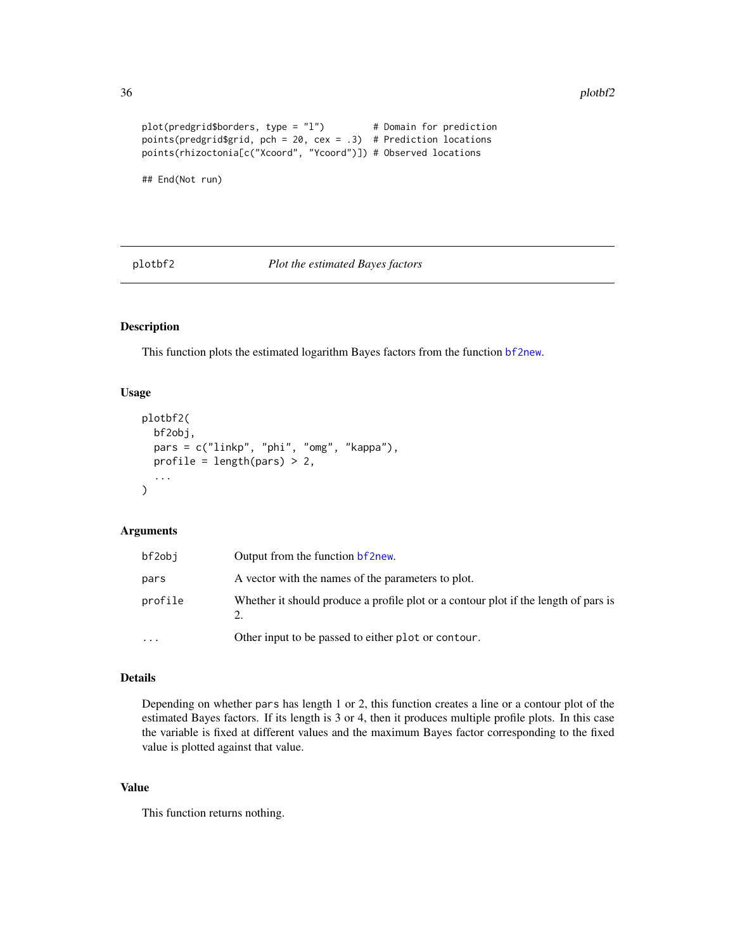```
plot(predgrid$borders, type = "l") # Domain for prediction
points(predgrid$grid, pch = 20, cex = .3) # Prediction locations
points(rhizoctonia[c("Xcoord", "Ycoord")]) # Observed locations
```
## End(Not run)

### plotbf2 *Plot the estimated Bayes factors*

### Description

This function plots the estimated logarithm Bayes factors from the function [bf2new](#page-8-1).

### Usage

```
plotbf2(
  bf2obj,
  pars = c("linkp", "phi", "omg", "kappa"),
  profile = length(pars) > 2,
  ...
\mathcal{L}
```
### Arguments

| bf2obi   | Output from the function bf2new.                                                    |
|----------|-------------------------------------------------------------------------------------|
| pars     | A vector with the names of the parameters to plot.                                  |
| profile  | Whether it should produce a profile plot or a contour plot if the length of pars is |
| $\cdots$ | Other input to be passed to either plot or contour.                                 |

### Details

Depending on whether pars has length 1 or 2, this function creates a line or a contour plot of the estimated Bayes factors. If its length is 3 or 4, then it produces multiple profile plots. In this case the variable is fixed at different values and the maximum Bayes factor corresponding to the fixed value is plotted against that value.

### Value

This function returns nothing.

<span id="page-35-0"></span>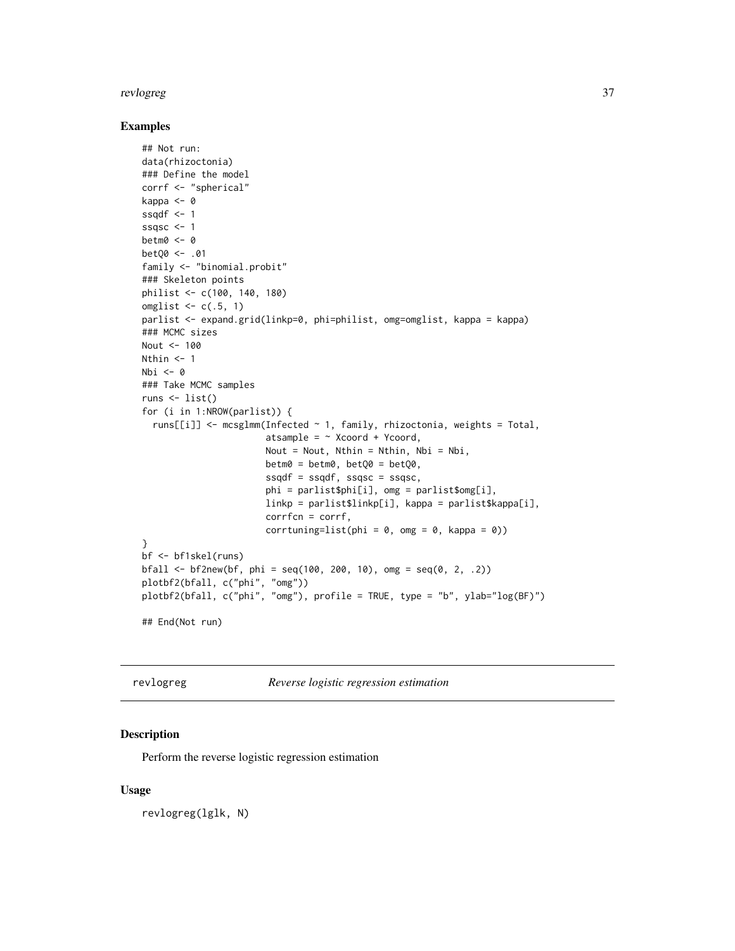### <span id="page-36-0"></span>revlogreg that the state of the state of the state of the state of the state of the state of the state of the state of the state of the state of the state of the state of the state of the state of the state of the state of

### Examples

```
## Not run:
data(rhizoctonia)
### Define the model
corrf <- "spherical"
kappa <- 0
ssqdf \leq -1ssqsc <-1betm0 <- 0
betQ0 <- .01
family <- "binomial.probit"
### Skeleton points
philist <- c(100, 140, 180)
omglist \leq c(.5, 1)parlist <- expand.grid(linkp=0, phi=philist, omg=omglist, kappa = kappa)
### MCMC sizes
Nout <- 100
Nthin <-1Nbi \leftarrow 0### Take MCMC samples
runs <- list()
for (i in 1:NROW(parlist)) {
  runs[[i]] \leq mcsglmm(Infected \sim 1, family, rhizoctonia, weights = Total,
                       atsample = \sim Xcoord + Ycoord,
                       Nout = Nout, Nthin = Nthin, Nbi = Nbi,
                       betm0 = betm0, betQ0 = betQ0,
                       ssqdf = ssqdf, ssqsc = ssqsc,
                       phi = parlist$phi[i], omg = parlist$omg[i],
                       linkp = parlist$linkp[i], kappa = parlist$kappa[i],
                       corrfcn = corrf,
                       corrtuning=list(phi = 0, omg = 0, kappa = 0))
}
bf <- bf1skel(runs)
bfal1 <- bf2new(bf, phi = seq(100, 200, 10), omg = seq(0, 2, .2))plotbf2(bfall, c("phi", "omg"))
plotbf2(bfall, c("phi", "omg"), profile = TRUE, type = "b", ylab="log(BF)")
## End(Not run)
```
revlogreg *Reverse logistic regression estimation*

### Description

Perform the reverse logistic regression estimation

### Usage

revlogreg(lglk, N)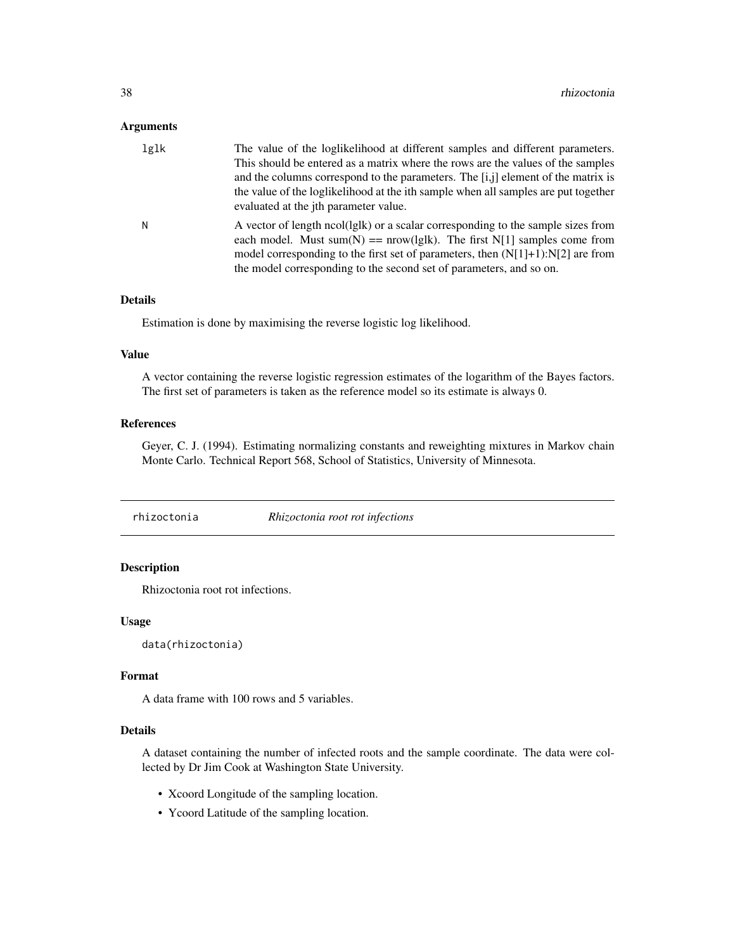### <span id="page-37-0"></span>**Arguments**

| lglk | The value of the loglikelihood at different samples and different parameters.<br>This should be entered as a matrix where the rows are the values of the samples<br>and the columns correspond to the parameters. The $[i, j]$ element of the matrix is<br>the value of the loglikelihood at the ith sample when all samples are put together<br>evaluated at the jth parameter value. |
|------|----------------------------------------------------------------------------------------------------------------------------------------------------------------------------------------------------------------------------------------------------------------------------------------------------------------------------------------------------------------------------------------|
| Ν    | A vector of length ncol(lglk) or a scalar corresponding to the sample sizes from<br>each model. Must sum(N) == $nrow(lglk)$ . The first N[1] samples come from<br>model corresponding to the first set of parameters, then $(N[1]+1):N[2]$ are from<br>the model corresponding to the second set of parameters, and so on.                                                             |

### Details

Estimation is done by maximising the reverse logistic log likelihood.

#### Value

A vector containing the reverse logistic regression estimates of the logarithm of the Bayes factors. The first set of parameters is taken as the reference model so its estimate is always 0.

### References

Geyer, C. J. (1994). Estimating normalizing constants and reweighting mixtures in Markov chain Monte Carlo. Technical Report 568, School of Statistics, University of Minnesota.

rhizoctonia *Rhizoctonia root rot infections*

### Description

Rhizoctonia root rot infections.

### Usage

data(rhizoctonia)

### Format

A data frame with 100 rows and 5 variables.

### Details

A dataset containing the number of infected roots and the sample coordinate. The data were collected by Dr Jim Cook at Washington State University.

- Xcoord Longitude of the sampling location.
- Ycoord Latitude of the sampling location.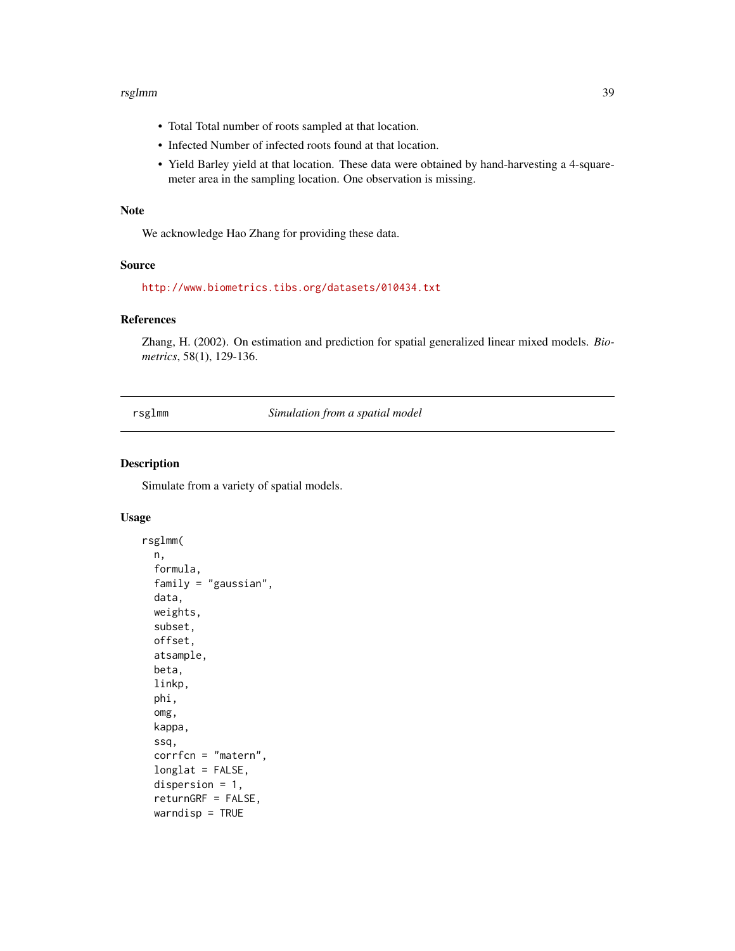### <span id="page-38-0"></span>rsglmm 39

- Total Total number of roots sampled at that location.
- Infected Number of infected roots found at that location.
- Yield Barley yield at that location. These data were obtained by hand-harvesting a 4-squaremeter area in the sampling location. One observation is missing.

### Note

We acknowledge Hao Zhang for providing these data.

### Source

<http://www.biometrics.tibs.org/datasets/010434.txt>

#### References

Zhang, H. (2002). On estimation and prediction for spatial generalized linear mixed models. *Biometrics*, 58(1), 129-136.

rsglmm *Simulation from a spatial model*

### Description

Simulate from a variety of spatial models.

### Usage

```
rsglmm(
 n,
  formula,
  family = "gaussian",
 data,
 weights,
  subset,
 offset,
  atsample,
 beta,
  linkp,
 phi,
  omg,
  kappa,
  ssq,
  corrfcn = "matern",
  longlat = FALSE,
  dispersion = 1,
  returnGRF = FALSE,
 warndisp = TRUE
```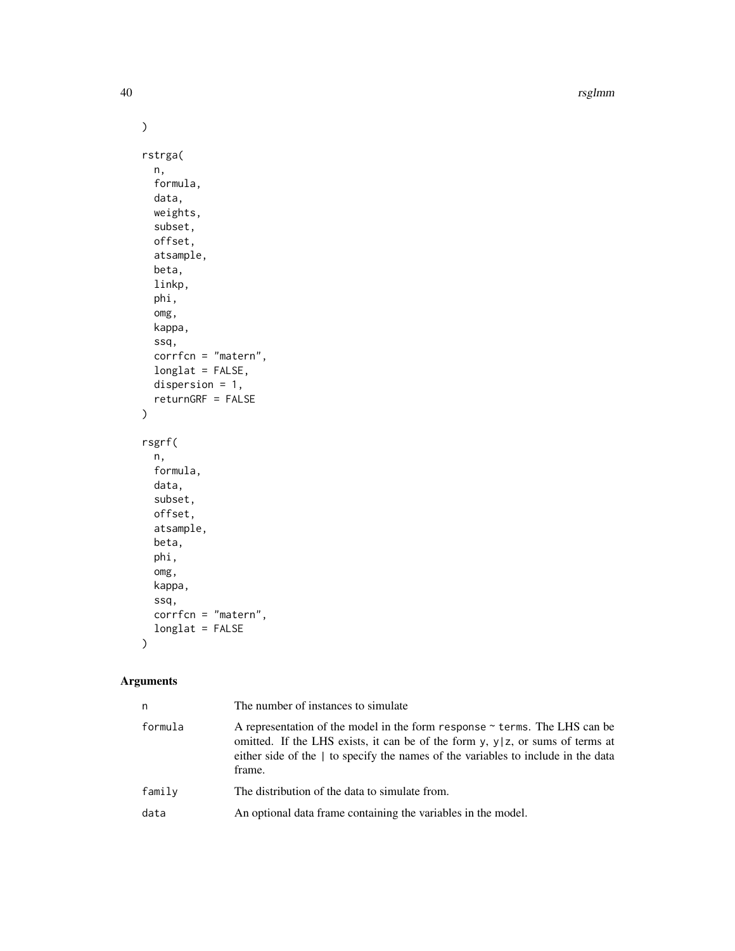40 rsglmm

```
\lambdarstrga(
  n,
  formula,
  data,
  weights,
  subset,
  offset,
  atsample,
  beta,
  linkp,
  phi,
  omg,
  kappa,
  ssq,
  corrfcn = "matern",
  longlat = FALSE,
  dispersion = 1,
  returnGRF = FALSE
)
rsgrf(
  n,
  formula,
  data,
  subset,
  offset,
  atsample,
  beta,
  phi,
  omg,
  kappa,
  ssq,
  corrfcn = "matern",
  longlat = FALSE
```
### $\mathcal{L}$

### Arguments

| n       | The number of instances to simulate                                                                                                                                                                                                                                     |
|---------|-------------------------------------------------------------------------------------------------------------------------------------------------------------------------------------------------------------------------------------------------------------------------|
| formula | A representation of the model in the form response $\sim$ terms. The LHS can be<br>omitted. If the LHS exists, it can be of the form y, $y \mid z$ , or sums of terms at<br>either side of the   to specify the names of the variables to include in the data<br>frame. |
| family  | The distribution of the data to simulate from.                                                                                                                                                                                                                          |
| data    | An optional data frame containing the variables in the model.                                                                                                                                                                                                           |
|         |                                                                                                                                                                                                                                                                         |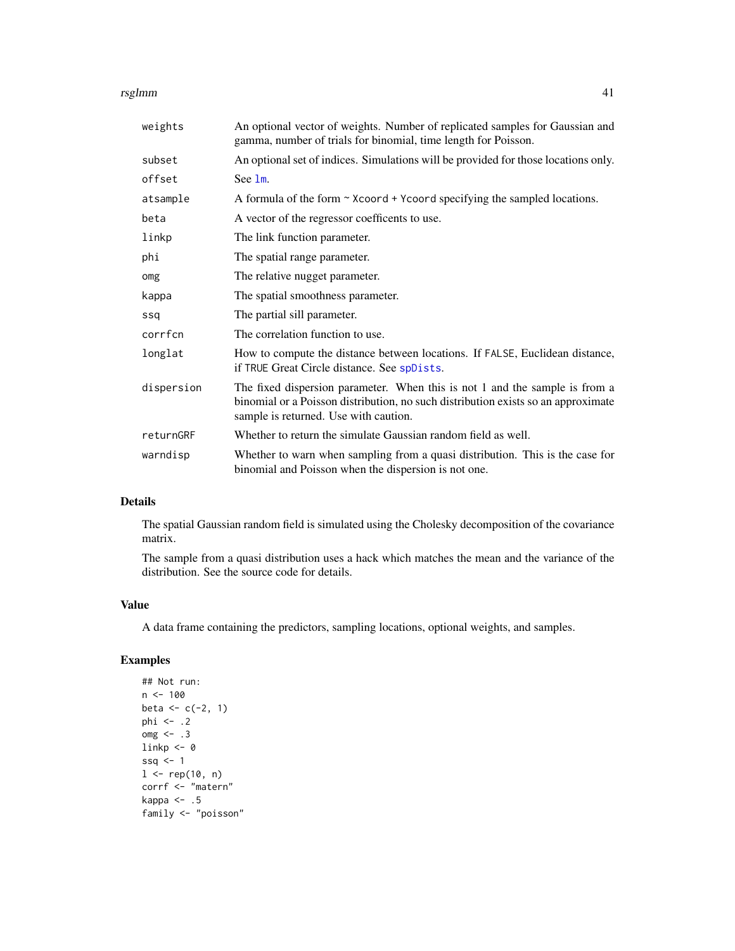### <span id="page-40-0"></span>rsglmm 41

| weights    | An optional vector of weights. Number of replicated samples for Gaussian and<br>gamma, number of trials for binomial, time length for Poisson.                                                            |
|------------|-----------------------------------------------------------------------------------------------------------------------------------------------------------------------------------------------------------|
| subset     | An optional set of indices. Simulations will be provided for those locations only.                                                                                                                        |
| offset     | See 1m.                                                                                                                                                                                                   |
| atsample   | A formula of the form $\sim$ Xcoord + Ycoord specifying the sampled locations.                                                                                                                            |
| beta       | A vector of the regressor coefficents to use.                                                                                                                                                             |
| linkp      | The link function parameter.                                                                                                                                                                              |
| phi        | The spatial range parameter.                                                                                                                                                                              |
| omg        | The relative nugget parameter.                                                                                                                                                                            |
| kappa      | The spatial smoothness parameter.                                                                                                                                                                         |
| ssq        | The partial sill parameter.                                                                                                                                                                               |
| corrfcn    | The correlation function to use.                                                                                                                                                                          |
| longlat    | How to compute the distance between locations. If FALSE, Euclidean distance,<br>if TRUE Great Circle distance. See spDists.                                                                               |
| dispersion | The fixed dispersion parameter. When this is not 1 and the sample is from a<br>binomial or a Poisson distribution, no such distribution exists so an approximate<br>sample is returned. Use with caution. |
| returnGRF  | Whether to return the simulate Gaussian random field as well.                                                                                                                                             |
| warndisp   | Whether to warn when sampling from a quasi distribution. This is the case for<br>binomial and Poisson when the dispersion is not one.                                                                     |

### Details

The spatial Gaussian random field is simulated using the Cholesky decomposition of the covariance matrix.

The sample from a quasi distribution uses a hack which matches the mean and the variance of the distribution. See the source code for details.

### Value

A data frame containing the predictors, sampling locations, optional weights, and samples.

```
## Not run:
n < - 100beta <-c(-2, 1)phi <- .2
\frac{1}{\text{omg}} <- .3
linkp \leftarrow 0ssq <-11 \le rep(10, n)
corrf <- "matern"
kappa \leq -0.5family <- "poisson"
```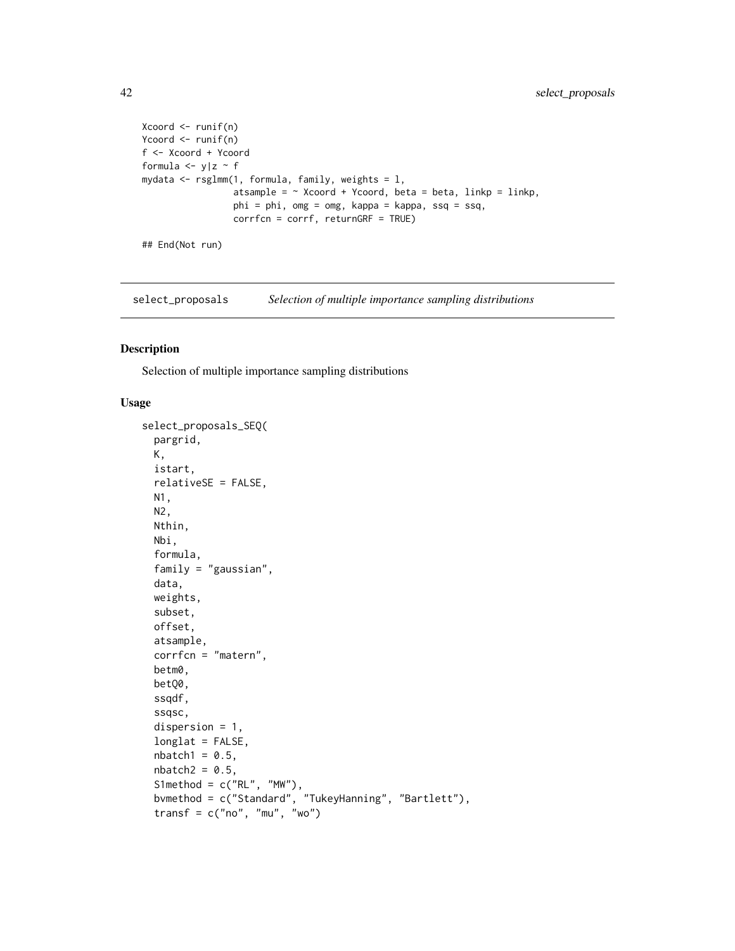```
Xcoord <- runif(n)
Ycoord <- runif(n)
f <- Xcoord + Ycoord
formula \leftarrow y|z \sim f
mydata \leq rsglmm(1, formula, family, weights = 1,
                  atsample = \sim Xcoord + Ycoord, beta = beta, linkp = linkp,
                  phi = phi, omg = omg, kappa = kappa, ssq = ssq,
                  corrfcn = corrf, returnGRF = TRUE)
## End(Not run)
```
select\_proposals *Selection of multiple importance sampling distributions*

### Description

Selection of multiple importance sampling distributions

### Usage

```
select_proposals_SEQ(
 pargrid,
 K,
 istart,
 relativeSE = FALSE,
 N1,
 N2,
 Nthin,
 Nbi,
  formula,
  family = "gaussian",
  data,
 weights,
  subset,
 offset,
  atsample,
 corrfcn = "matern",
 betm0,
 betQ0,
  ssqdf,
  ssqsc,
 dispersion = 1,
  longlat = FALSE,nbatch1 = 0.5,
 nbatch2 = 0.5,
  S1method = c("RL", "MW"),
 bvmethod = c("Standard", "TukeyHanning", "Bartlett"),
  transf = c("no", "mu", "wo")
```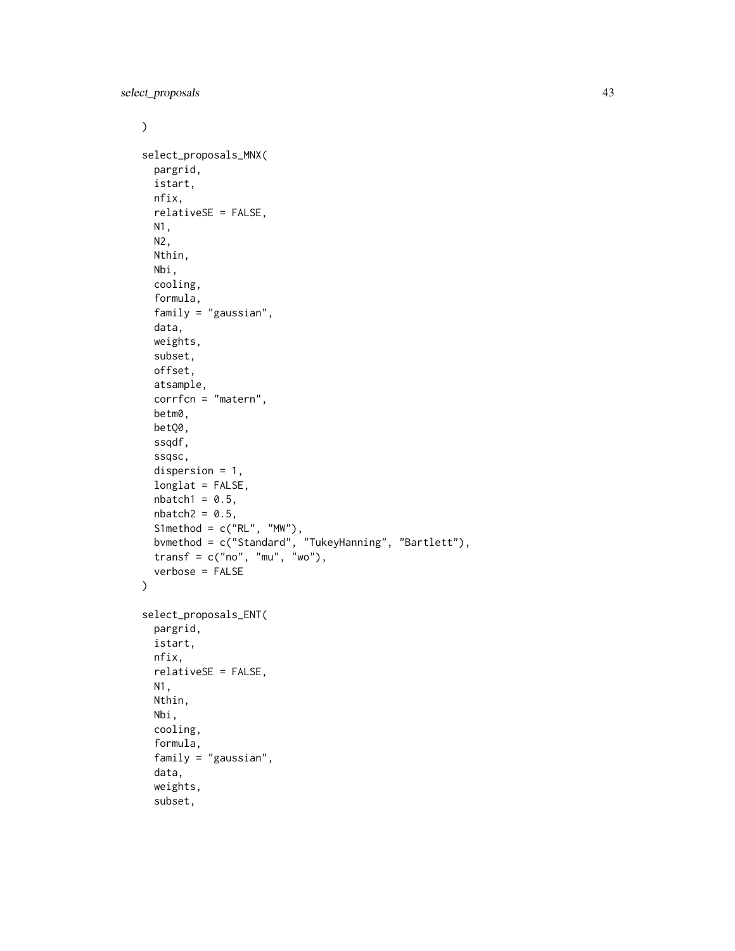select\_proposals 43

```
\mathcal{L}select_proposals_MNX(
 pargrid,
 istart,
 nfix,
  relativeSE = FALSE,
 N1,
 N2,
 Nthin,
 Nbi,
  cooling,
  formula,
  family = "gaussian",
  data,
  weights,
  subset,
 offset,
 atsample,
  corrfcn = "matern",
 betm0,
 betQ0,
  ssqdf,
  ssqsc,
  dispersion = 1,
  longlat = FALSE,
 nbatch1 = 0.5,
 nbatch2 = 0.5,
  S1method = c("RL", "MW"),
  bvmethod = c("Standard", "TukeyHanning", "Bartlett"),
  transf = c("no", "mu", "wo"),
  verbose = FALSE
\mathcal{L}select_proposals_ENT(
 pargrid,
 istart,
 nfix,
  relativeSE = FALSE,
 N1,
 Nthin,
 Nbi,
  cooling,
  formula,
  family = "gaussian",
  data,
  weights,
  subset,
```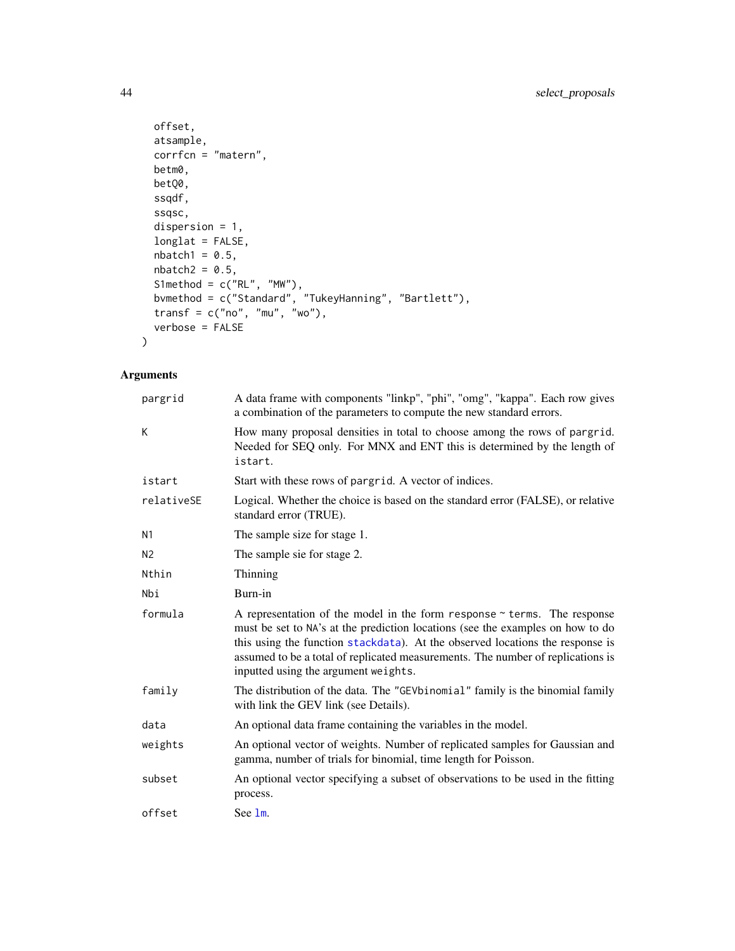```
offset,
 atsample,
 corrfcn = "matern",
 betm0,
 betQ0,
 ssqdf,
 ssqsc,
 dispersion = 1,
 longlat = FALSE,
 nbatch1 = 0.5,nbatch2 = 0.5,
  S1method = c("RL", "MW"),
  bvmethod = c("Standard", "TukeyHanning", "Bartlett"),
 transf = c("no", "mu", "wo"),verbose = FALSE
\mathcal{L}
```
### Arguments

| pargrid    | A data frame with components "linkp", "phi", "omg", "kappa". Each row gives<br>a combination of the parameters to compute the new standard errors.                                                                                                                                                                                                                          |
|------------|-----------------------------------------------------------------------------------------------------------------------------------------------------------------------------------------------------------------------------------------------------------------------------------------------------------------------------------------------------------------------------|
| K          | How many proposal densities in total to choose among the rows of pargrid.<br>Needed for SEQ only. For MNX and ENT this is determined by the length of<br>istart.                                                                                                                                                                                                            |
| istart     | Start with these rows of pargrid. A vector of indices.                                                                                                                                                                                                                                                                                                                      |
| relativeSE | Logical. Whether the choice is based on the standard error (FALSE), or relative<br>standard error (TRUE).                                                                                                                                                                                                                                                                   |
| Ν1         | The sample size for stage 1.                                                                                                                                                                                                                                                                                                                                                |
| Ν2         | The sample sie for stage 2.                                                                                                                                                                                                                                                                                                                                                 |
| Nthin      | Thinning                                                                                                                                                                                                                                                                                                                                                                    |
| Nbi        | Burn-in                                                                                                                                                                                                                                                                                                                                                                     |
| formula    | A representation of the model in the form response $\sim$ terms. The response<br>must be set to NA's at the prediction locations (see the examples on how to do<br>this using the function stackdata). At the observed locations the response is<br>assumed to be a total of replicated measurements. The number of replications is<br>inputted using the argument weights. |
| family     | The distribution of the data. The "GEV binomial" family is the binomial family<br>with link the GEV link (see Details).                                                                                                                                                                                                                                                     |
| data       | An optional data frame containing the variables in the model.                                                                                                                                                                                                                                                                                                               |
| weights    | An optional vector of weights. Number of replicated samples for Gaussian and<br>gamma, number of trials for binomial, time length for Poisson.                                                                                                                                                                                                                              |
| subset     | An optional vector specifying a subset of observations to be used in the fitting<br>process.                                                                                                                                                                                                                                                                                |
| offset     | See 1m.                                                                                                                                                                                                                                                                                                                                                                     |

<span id="page-43-0"></span>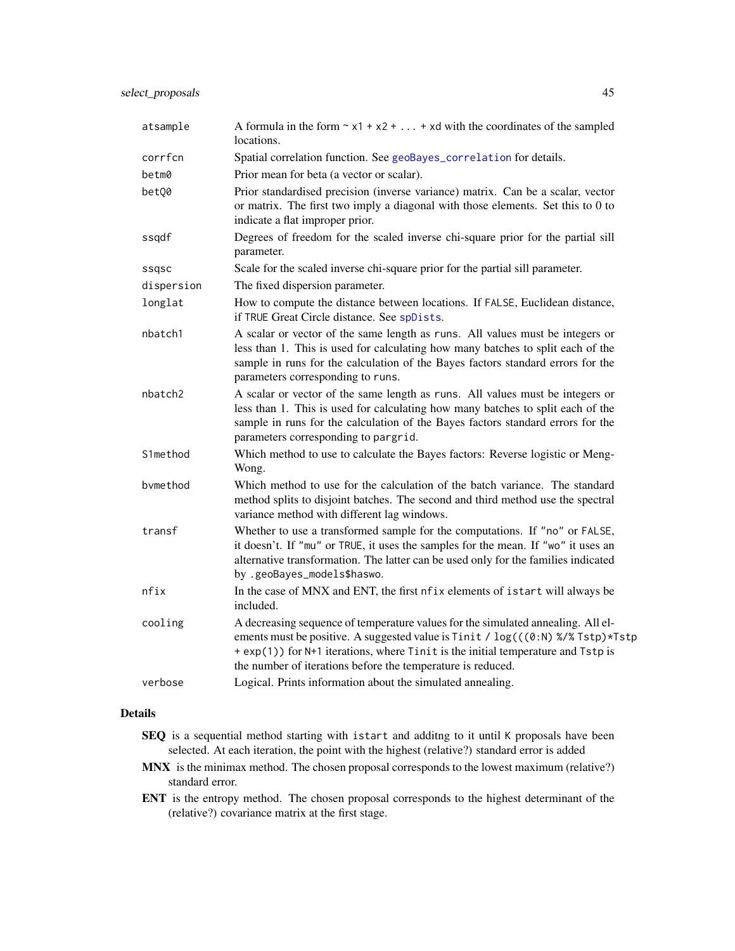<span id="page-44-0"></span>

| atsample   | A formula in the form $\sim x1 + x2 +  + xd$ with the coordinates of the sampled<br>locations.                                                                                                                                                                                                                         |
|------------|------------------------------------------------------------------------------------------------------------------------------------------------------------------------------------------------------------------------------------------------------------------------------------------------------------------------|
| corrfcn    | Spatial correlation function. See geoBayes_correlation for details.                                                                                                                                                                                                                                                    |
| betm0      | Prior mean for beta (a vector or scalar).                                                                                                                                                                                                                                                                              |
| betQ0      | Prior standardised precision (inverse variance) matrix. Can be a scalar, vector<br>or matrix. The first two imply a diagonal with those elements. Set this to 0 to<br>indicate a flat improper prior.                                                                                                                  |
| ssqdf      | Degrees of freedom for the scaled inverse chi-square prior for the partial sill<br>parameter.                                                                                                                                                                                                                          |
| ssqsc      | Scale for the scaled inverse chi-square prior for the partial sill parameter.                                                                                                                                                                                                                                          |
| dispersion | The fixed dispersion parameter.                                                                                                                                                                                                                                                                                        |
| longlat    | How to compute the distance between locations. If FALSE, Euclidean distance,<br>if TRUE Great Circle distance. See spDists.                                                                                                                                                                                            |
| nbatch1    | A scalar or vector of the same length as runs. All values must be integers or<br>less than 1. This is used for calculating how many batches to split each of the<br>sample in runs for the calculation of the Bayes factors standard errors for the<br>parameters corresponding to runs.                               |
| nbatch2    | A scalar or vector of the same length as runs. All values must be integers or<br>less than 1. This is used for calculating how many batches to split each of the<br>sample in runs for the calculation of the Bayes factors standard errors for the<br>parameters corresponding to pargrid.                            |
| S1method   | Which method to use to calculate the Bayes factors: Reverse logistic or Meng-<br>Wong.                                                                                                                                                                                                                                 |
| bvmethod   | Which method to use for the calculation of the batch variance. The standard<br>method splits to disjoint batches. The second and third method use the spectral<br>variance method with different lag windows.                                                                                                          |
| transf     | Whether to use a transformed sample for the computations. If "no" or FALSE,<br>it doesn't. If "mu" or TRUE, it uses the samples for the mean. If "wo" it uses an<br>alternative transformation. The latter can be used only for the families indicated<br>by .geoBayes_models\$haswo.                                  |
| nfix       | In the case of MNX and ENT, the first nfix elements of istart will always be<br>included.                                                                                                                                                                                                                              |
| cooling    | A decreasing sequence of temperature values for the simulated annealing. All el-<br>ements must be positive. A suggested value is Tinit / log(((0:N) %/% Tstp)*Tstp<br>+ exp(1)) for N+1 iterations, where Tinit is the initial temperature and Tstp is<br>the number of iterations before the temperature is reduced. |
| verbose    | Logical. Prints information about the simulated annealing.                                                                                                                                                                                                                                                             |

### Details

- SEQ is a sequential method starting with istart and additng to it until K proposals have been selected. At each iteration, the point with the highest (relative?) standard error is added
- MNX is the minimax method. The chosen proposal corresponds to the lowest maximum (relative?) standard error.
- ENT is the entropy method. The chosen proposal corresponds to the highest determinant of the (relative?) covariance matrix at the first stage.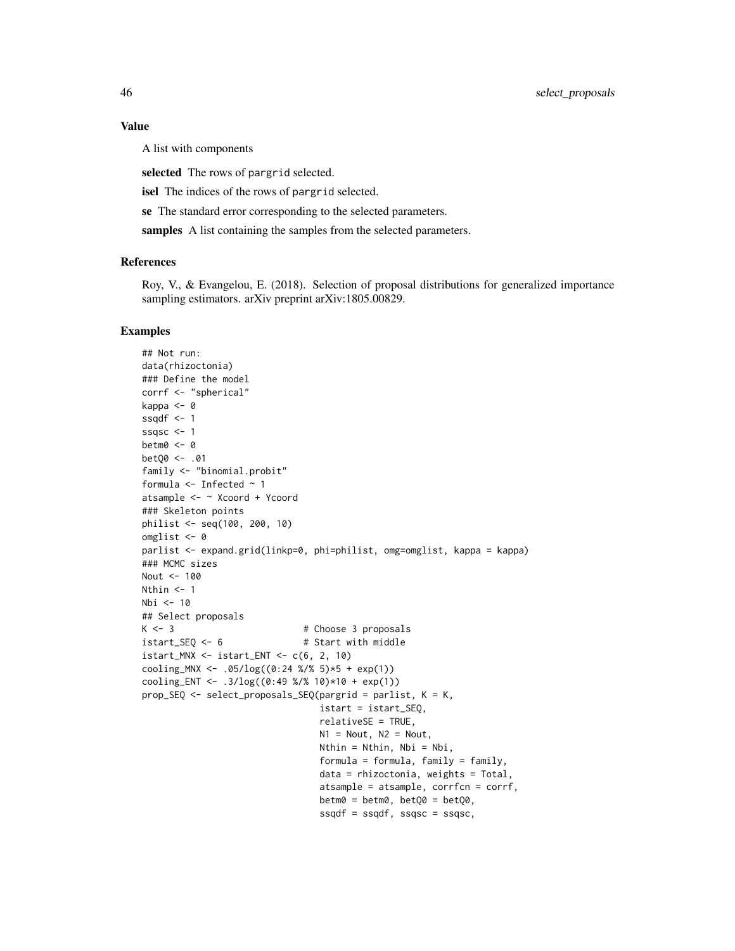### Value

A list with components

selected The rows of pargrid selected.

isel The indices of the rows of pargrid selected.

se The standard error corresponding to the selected parameters.

samples A list containing the samples from the selected parameters.

### References

Roy, V., & Evangelou, E. (2018). Selection of proposal distributions for generalized importance sampling estimators. arXiv preprint arXiv:1805.00829.

```
## Not run:
data(rhizoctonia)
### Define the model
corrf <- "spherical"
kappa <- 0
ssqdf \leq -1ssqsc <-1betm0 < -0betQ0 <- .01
family <- "binomial.probit"
formula <- Infected ~ 1
atsample <- ~ Xcoord + Ycoord
### Skeleton points
philist <- seq(100, 200, 10)
omglist <- 0
parlist <- expand.grid(linkp=0, phi=philist, omg=omglist, kappa = kappa)
### MCMC sizes
Nout <- 100
Nthin <- 1
Nbi <- 10
## Select proposals
K < -3 # Choose 3 proposals
istart_SEQ <- 6 # Start with middle
istart_MNX <- istart_ENT <- c(6, 2, 10)
cooling_MNX <- .05/log((0:24 \frac{\%}{5}) \times 5 + \exp(1))
cooling_ENT <- .3/\log((0:49 \frac{\pi}{8}) \frac{\pi}{10}) \neq 10 + \exp(1))prop_SEQ <- select_proposals_SEQ(pargrid = parlist, K = K,
                                 istart = istart_SEQ,
                                 relativeSE = TRUE,
                                 N1 = Nout, N2 = Nout,Nthin = Nthin, Nbi = Nbi,
                                 formula = formula, family = family,
                                 data = rhizoctonia, weights = Total,
                                 atsample = atsample, corrfcn = corrf,
                                 betm0 = betm0, betQ0 = betQ0,
                                 ssqdf = ssqdf, ssqsc = ssqsc,
```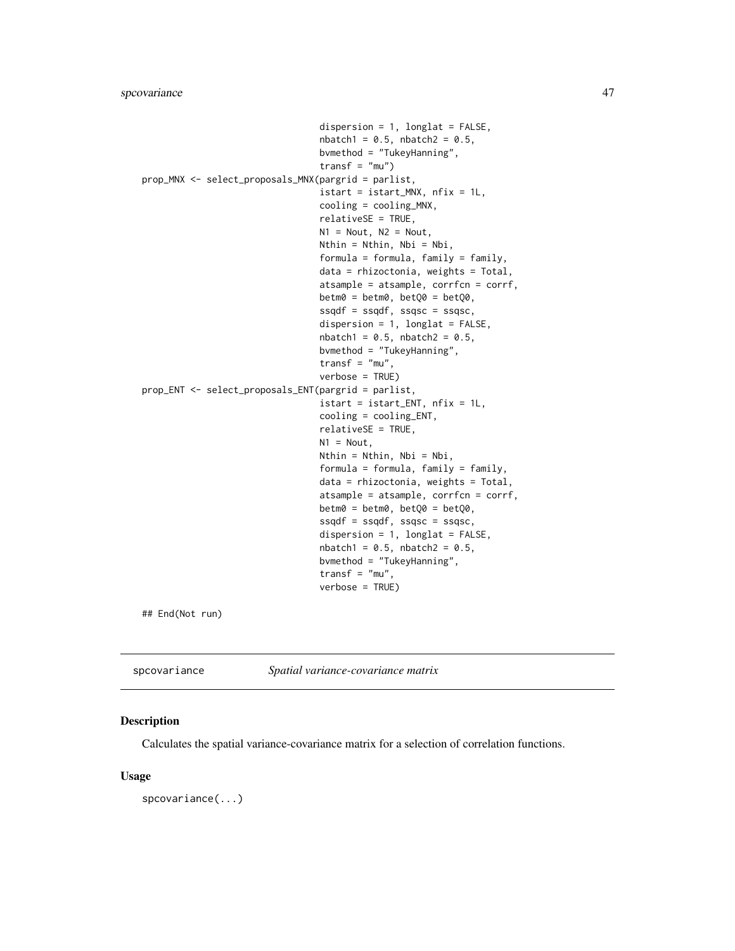```
dispersion = 1, longlat = FALSE,
                                 nbatch1 = 0.5, nbatch2 = 0.5,bvmethod = "TukeyHanning",
                                 transf = "mu")prop_MNX <- select_proposals_MNX(pargrid = parlist,
                                 istart = istart_MNX, nfix = 1L,
                                 cooling = cooling_MNX,
                                 relativeSE = TRUE,
                                 N1 = Nout, N2 = Nout,Nthin = Nthin, Nbi = Nbi,
                                 formula = formula, family = family,
                                 data = rhizoctonia, weights = Total,
                                 atsample = atsample, corrfcn = corrf,
                                 betm0 = betm0, betQ0 = betQ0,
                                 ssqdf = ssqdf, ssqsc = ssqsc,
                                 dispersion = 1, longlat = FALSE,
                                 nbatch1 = 0.5, nbatch2 = 0.5,bvmethod = "TukeyHanning",
                                 transf = "mu",
                                 verbose = TRUE)
prop_ENT <- select_proposals_ENT(pargrid = parlist,
                                 istart = istart_ENT, nfix = 1L,
                                 cooling = cooling_ENT,
                                 relativeSE = TRUE,
                                 N1 = Nout,Nthin = Nthin, Nbi = Nbi,
                                 formula = formula, family = family,
                                 data = rhizoctonia, weights = Total,
                                 atsample = atsample, corrfcn = corrf,
                                 betm0 = betm0, betQ0 = betQ0,
                                 ssqdf = ssqdf, ssqsc = ssqsc,
                                 dispersion = 1, longlat = FALSE,
                                 nbatch1 = 0.5, nbatch2 = 0.5,bvmethod = "TukeyHanning",
                                 transf = "mu",
                                 verbose = TRUE)
```
## End(Not run)

spcovariance *Spatial variance-covariance matrix*

### Description

Calculates the spatial variance-covariance matrix for a selection of correlation functions.

#### Usage

spcovariance(...)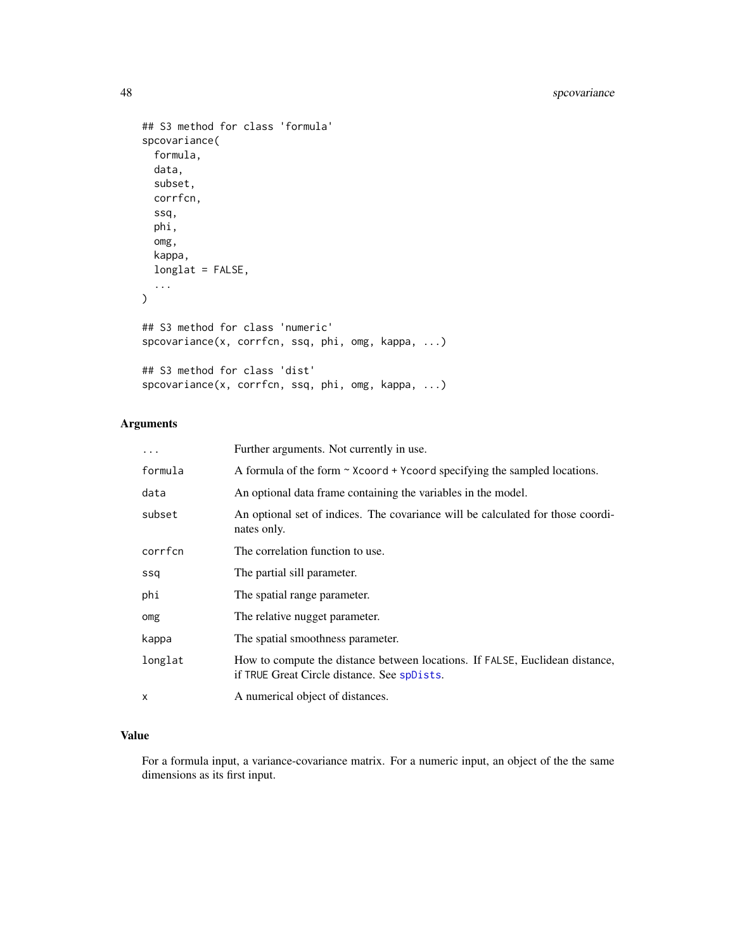```
## S3 method for class 'formula'
spcovariance(
  formula,
 data,
  subset,
  corrfcn,
 ssq,
 phi,
  omg,
 kappa,
 longlat = FALSE,
  ...
)
## S3 method for class 'numeric'
spcovariance(x, corrfcn, ssq, phi, omg, kappa, ...)
## S3 method for class 'dist'
spcovariance(x, corrfcn, ssq, phi, omg, kappa, ...)
```
### Arguments

| $\ddots$     | Further arguments. Not currently in use.                                                                                    |
|--------------|-----------------------------------------------------------------------------------------------------------------------------|
| formula      | A formula of the form $\sim$ Xcoord + Ycoord specifying the sampled locations.                                              |
| data         | An optional data frame containing the variables in the model.                                                               |
| subset       | An optional set of indices. The covariance will be calculated for those coordi-<br>nates only.                              |
| corrfcn      | The correlation function to use.                                                                                            |
| ssq          | The partial sill parameter.                                                                                                 |
| phi          | The spatial range parameter.                                                                                                |
| omg          | The relative nugget parameter.                                                                                              |
| kappa        | The spatial smoothness parameter.                                                                                           |
| longlat      | How to compute the distance between locations. If FALSE, Euclidean distance,<br>if TRUE Great Circle distance. See spDists. |
| $\mathsf{x}$ | A numerical object of distances.                                                                                            |

### Value

For a formula input, a variance-covariance matrix. For a numeric input, an object of the the same dimensions as its first input.

<span id="page-47-0"></span>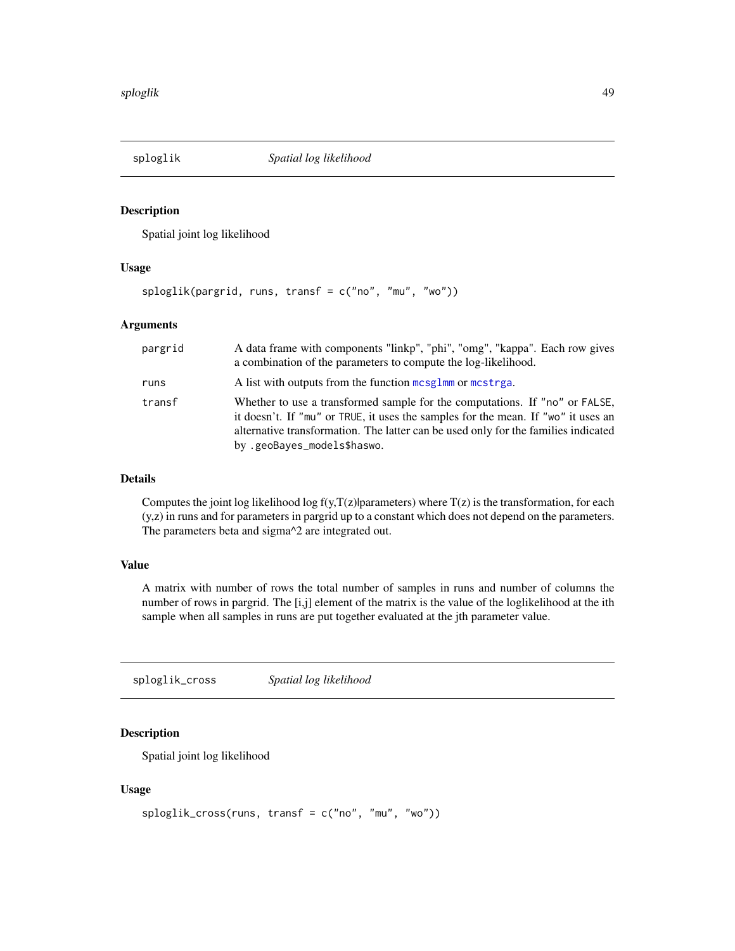<span id="page-48-0"></span>

### Description

Spatial joint log likelihood

### Usage

sploglik(pargrid, runs, transf = c("no", "mu", "wo"))

### Arguments

| pargrid | A data frame with components "linkp", "phi", "omg", "kappa". Each row gives<br>a combination of the parameters to compute the log-likelihood.                                                                                                                                         |
|---------|---------------------------------------------------------------------------------------------------------------------------------------------------------------------------------------------------------------------------------------------------------------------------------------|
| runs    | A list with outputs from the function mcsglmm or mcstrga.                                                                                                                                                                                                                             |
| transf  | Whether to use a transformed sample for the computations. If "no" or FALSE,<br>it doesn't. If "mu" or TRUE, it uses the samples for the mean. If "wo" it uses an<br>alternative transformation. The latter can be used only for the families indicated<br>by .geoBayes_models\$haswo. |

### Details

Computes the joint log likelihood log f(y,T(z)|parameters) where  $T(z)$  is the transformation, for each (y,z) in runs and for parameters in pargrid up to a constant which does not depend on the parameters. The parameters beta and sigma^2 are integrated out.

### Value

A matrix with number of rows the total number of samples in runs and number of columns the number of rows in pargrid. The [i,j] element of the matrix is the value of the loglikelihood at the ith sample when all samples in runs are put together evaluated at the jth parameter value.

sploglik\_cross *Spatial log likelihood*

### Description

Spatial joint log likelihood

### Usage

```
sploglik_cross(runs, transf = c("no", "mu", "wo"))
```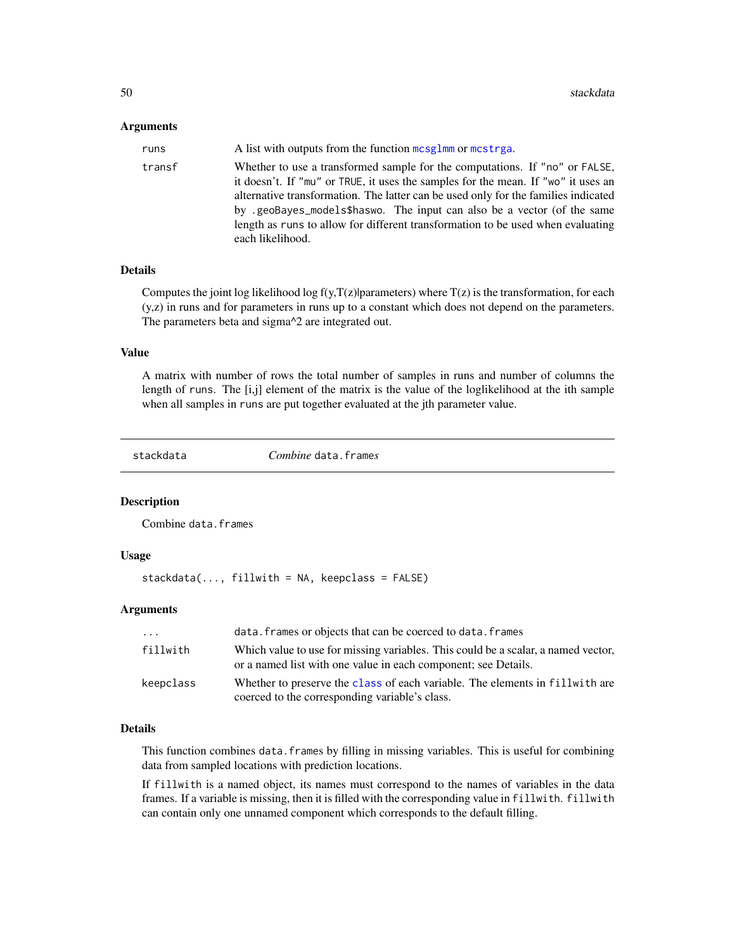### <span id="page-49-0"></span>Arguments

| runs   | A list with outputs from the function messelmm or mestrga.                                                                                                       |
|--------|------------------------------------------------------------------------------------------------------------------------------------------------------------------|
| transf | Whether to use a transformed sample for the computations. If "no" or FALSE,<br>it doesn't. If "mu" or TRUE, it uses the samples for the mean. If "wo" it uses an |
|        | alternative transformation. The latter can be used only for the families indicated<br>by .geoBayes_models\$haswo. The input can also be a vector (of the same    |
|        | length as runs to allow for different transformation to be used when evaluating<br>each likelihood.                                                              |

### Details

Computes the joint log likelihood log f(y,T(z)|parameters) where  $T(z)$  is the transformation, for each (y,z) in runs and for parameters in runs up to a constant which does not depend on the parameters. The parameters beta and sigma<sup> $\land$ 2</sup> are integrated out.

### Value

A matrix with number of rows the total number of samples in runs and number of columns the length of runs. The [i,j] element of the matrix is the value of the loglikelihood at the ith sample when all samples in runs are put together evaluated at the jth parameter value.

<span id="page-49-1"></span>

stackdata *Combine* data.frame*s*

### Description

Combine data.frames

### Usage

 $stackdata(..., fillwith = NA, keepclass = FALSE)$ 

#### Arguments

| $\cdot$ $\cdot$ $\cdot$ | data. frames or objects that can be coerced to data. frames                                                                                         |
|-------------------------|-----------------------------------------------------------------------------------------------------------------------------------------------------|
| fillwith                | Which value to use for missing variables. This could be a scalar, a named vector,<br>or a named list with one value in each component; see Details. |
| keepclass               | Whether to preserve the class of each variable. The elements in fillwith are<br>coerced to the corresponding variable's class.                      |

### Details

This function combines data.frames by filling in missing variables. This is useful for combining data from sampled locations with prediction locations.

If fillwith is a named object, its names must correspond to the names of variables in the data frames. If a variable is missing, then it is filled with the corresponding value in fillwith. fillwith can contain only one unnamed component which corresponds to the default filling.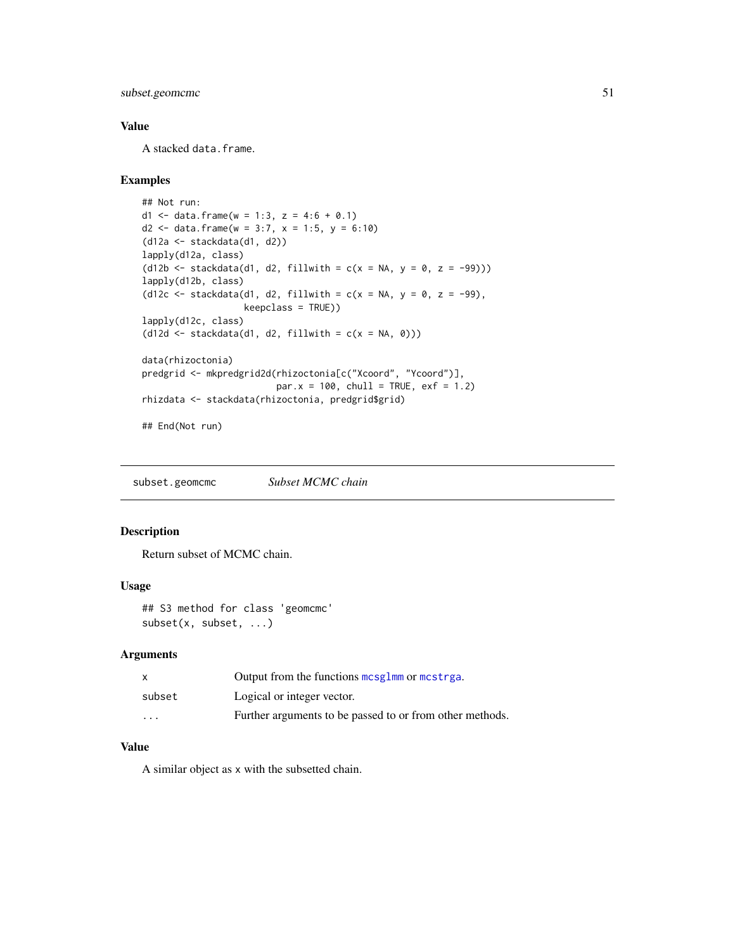<span id="page-50-0"></span>subset.geomcmc 51

### Value

A stacked data.frame.

### Examples

```
## Not run:
d1 <- data.frame(w = 1:3, z = 4:6 + 0.1)
d2 <- data.frame(w = 3:7, x = 1:5, y = 6:10)
(d12a <- stackdata(d1, d2))
lapply(d12a, class)
(d12b \leq -stackdata(d1, d2, fillwith = c(x = NA, y = 0, z = -99)))lapply(d12b, class)
(d12c <- stackdata(d1, d2, fillwith = c(x = NA, y = 0, z = -99),
                   keepclass = TRUE))
lapply(d12c, class)
(d12d \leq -\text{stackdata}(d1, d2, \text{fillwith} = c(x = NA, 0)))data(rhizoctonia)
predgrid <- mkpredgrid2d(rhizoctonia[c("Xcoord", "Ycoord")],
                          par.x = 100, chull = TRUE, exf = 1.2)
rhizdata <- stackdata(rhizoctonia, predgrid$grid)
## End(Not run)
```
subset.geomcmc *Subset MCMC chain*

### Description

Return subset of MCMC chain.

### Usage

```
## S3 method for class 'geomcmc'
subset(x, subset, ...)
```
### Arguments

|          | Output from the functions mesglmm or mestrga.            |
|----------|----------------------------------------------------------|
| subset   | Logical or integer vector.                               |
| $\cdots$ | Further arguments to be passed to or from other methods. |

### Value

A similar object as x with the subsetted chain.